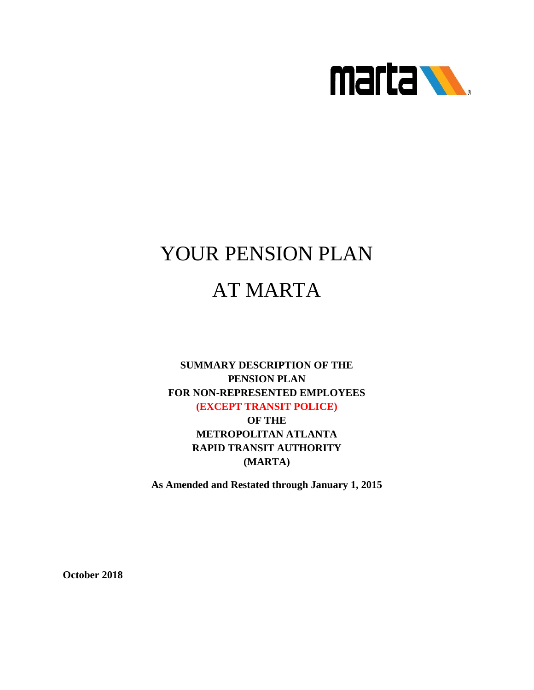

# YOUR PENSION PLAN AT MARTA

# **SUMMARY DESCRIPTION OF THE PENSION PLAN FOR NON-REPRESENTED EMPLOYEES (EXCEPT TRANSIT POLICE) OF THE**

**METROPOLITAN ATLANTA RAPID TRANSIT AUTHORITY (MARTA)**

**As Amended and Restated through January 1, 2015**

**October 2018**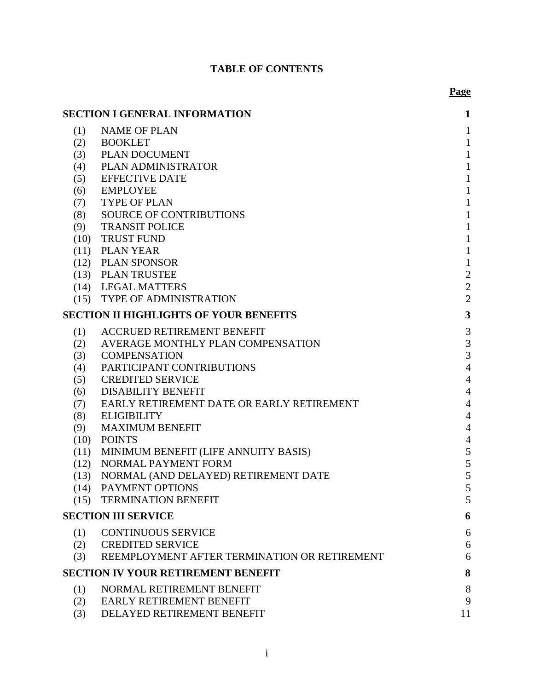# **TABLE OF CONTENTS**

**Page**

|      | <b>SECTION I GENERAL INFORMATION</b>          | $\mathbf{1}$   |
|------|-----------------------------------------------|----------------|
| (1)  | <b>NAME OF PLAN</b>                           | $\mathbf{1}$   |
| (2)  | <b>BOOKLET</b>                                | $\mathbf{1}$   |
| (3)  | <b>PLAN DOCUMENT</b>                          | $\mathbf{1}$   |
| (4)  | PLAN ADMINISTRATOR                            | $\mathbf{1}$   |
| (5)  | <b>EFFECTIVE DATE</b>                         | $\mathbf{1}$   |
| (6)  | <b>EMPLOYEE</b>                               | $\mathbf{1}$   |
| (7)  | <b>TYPE OF PLAN</b>                           | $\mathbf{1}$   |
| (8)  | SOURCE OF CONTRIBUTIONS                       | $\mathbf{1}$   |
| (9)  | <b>TRANSIT POLICE</b>                         | $\mathbf{1}$   |
|      | (10) TRUST FUND                               | $\mathbf{1}$   |
|      | $(11)$ PLAN YEAR                              | $\mathbf{1}$   |
|      | (12) PLAN SPONSOR                             | $\mathbf{1}$   |
|      | (13) PLAN TRUSTEE                             | $\overline{2}$ |
|      | (14) LEGAL MATTERS                            | $\overline{2}$ |
|      | (15) TYPE OF ADMINISTRATION                   | $\overline{2}$ |
|      | <b>SECTION II HIGHLIGHTS OF YOUR BENEFITS</b> | $\mathbf{3}$   |
| (1)  | <b>ACCRUED RETIREMENT BENEFIT</b>             | $\mathfrak{Z}$ |
| (2)  | AVERAGE MONTHLY PLAN COMPENSATION             | 3              |
| (3)  | <b>COMPENSATION</b>                           | $\overline{3}$ |
| (4)  | PARTICIPANT CONTRIBUTIONS                     | $\overline{4}$ |
| (5)  | <b>CREDITED SERVICE</b>                       | $\overline{4}$ |
| (6)  | <b>DISABILITY BENEFIT</b>                     | $\overline{4}$ |
| (7)  | EARLY RETIREMENT DATE OR EARLY RETIREMENT     | $\overline{4}$ |
| (8)  | <b>ELIGIBILITY</b>                            | $\overline{4}$ |
| (9)  | <b>MAXIMUM BENEFIT</b>                        | $\overline{4}$ |
| (10) | <b>POINTS</b>                                 | $\overline{4}$ |
|      | (11) MINIMUM BENEFIT (LIFE ANNUITY BASIS)     | 5              |
|      | (12) NORMAL PAYMENT FORM                      | 5              |
|      | (13) NORMAL (AND DELAYED) RETIREMENT DATE     | 5              |
| (14) | PAYMENT OPTIONS                               | 5              |
| (15) | <b>TERMINATION BENEFIT</b>                    | 5              |
|      | <b>SECTION III SERVICE</b>                    | 6              |
| (1)  | <b>CONTINUOUS SERVICE</b>                     | 6              |
| (2)  | <b>CREDITED SERVICE</b>                       | 6              |
| (3)  | REEMPLOYMENT AFTER TERMINATION OR RETIREMENT  | 6              |
|      | <b>SECTION IV YOUR RETIREMENT BENEFIT</b>     | 8              |
| (1)  | NORMAL RETIREMENT BENEFIT                     | 8              |
| (2)  | EARLY RETIREMENT BENEFIT                      | 9              |
| (3)  | DELAYED RETIREMENT BENEFIT                    | 11             |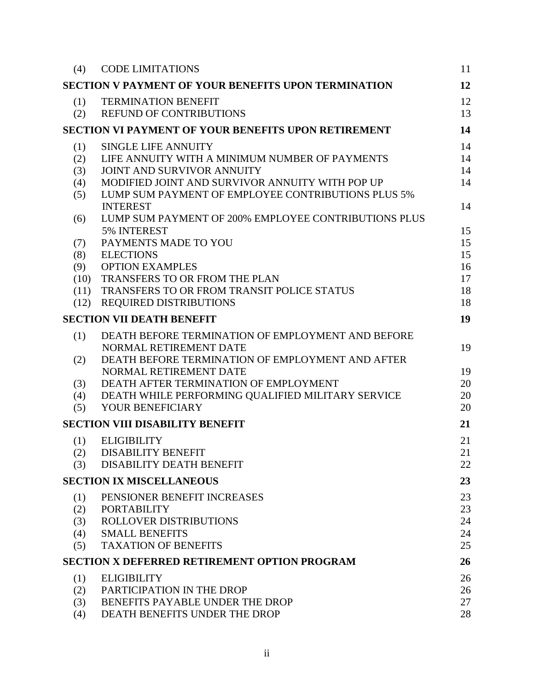| (4)          | <b>CODE LIMITATIONS</b>                                                                               | 11       |
|--------------|-------------------------------------------------------------------------------------------------------|----------|
|              | <b>SECTION V PAYMENT OF YOUR BENEFITS UPON TERMINATION</b>                                            | 12       |
| (1)          | <b>TERMINATION BENEFIT</b>                                                                            | 12       |
| (2)          | <b>REFUND OF CONTRIBUTIONS</b>                                                                        | 13       |
|              | <b>SECTION VI PAYMENT OF YOUR BENEFITS UPON RETIREMENT</b>                                            | 14       |
| (1)          | <b>SINGLE LIFE ANNUITY</b>                                                                            | 14       |
| (2)          | LIFE ANNUITY WITH A MINIMUM NUMBER OF PAYMENTS                                                        | 14       |
| (3)          | JOINT AND SURVIVOR ANNUITY                                                                            | 14       |
| (4)<br>(5)   | MODIFIED JOINT AND SURVIVOR ANNUITY WITH POP UP<br>LUMP SUM PAYMENT OF EMPLOYEE CONTRIBUTIONS PLUS 5% | 14       |
|              | <b>INTEREST</b>                                                                                       | 14       |
| (6)          | LUMP SUM PAYMENT OF 200% EMPLOYEE CONTRIBUTIONS PLUS                                                  |          |
|              | 5% INTEREST                                                                                           | 15       |
| (7)          | PAYMENTS MADE TO YOU                                                                                  | 15       |
| (8)          | <b>ELECTIONS</b>                                                                                      | 15       |
| (9)          | <b>OPTION EXAMPLES</b>                                                                                | 16       |
| (10)<br>(11) | TRANSFERS TO OR FROM THE PLAN<br>TRANSFERS TO OR FROM TRANSIT POLICE STATUS                           | 17<br>18 |
|              | (12) REQUIRED DISTRIBUTIONS                                                                           | 18       |
|              | <b>SECTION VII DEATH BENEFIT</b>                                                                      | 19       |
|              |                                                                                                       |          |
| (1)          | DEATH BEFORE TERMINATION OF EMPLOYMENT AND BEFORE                                                     |          |
| (2)          | NORMAL RETIREMENT DATE<br>DEATH BEFORE TERMINATION OF EMPLOYMENT AND AFTER                            | 19       |
|              | NORMAL RETIREMENT DATE                                                                                | 19       |
| (3)          | DEATH AFTER TERMINATION OF EMPLOYMENT                                                                 | 20       |
| (4)          | DEATH WHILE PERFORMING QUALIFIED MILITARY SERVICE                                                     | 20       |
| (5)          | YOUR BENEFICIARY                                                                                      | 20       |
|              | <b>SECTION VIII DISABILITY BENEFIT</b>                                                                | 21       |
| (1)          | <b>ELIGIBILITY</b>                                                                                    | 21       |
| (2)          | <b>DISABILITY BENEFIT</b>                                                                             | 21       |
| (3)          | <b>DISABILITY DEATH BENEFIT</b>                                                                       | 22       |
|              | <b>SECTION IX MISCELLANEOUS</b>                                                                       | 23       |
| (1)          | PENSIONER BENEFIT INCREASES                                                                           | 23       |
| (2)          | <b>PORTABILITY</b>                                                                                    | 23       |
| (3)          | ROLLOVER DISTRIBUTIONS                                                                                | 24       |
| (4)          | <b>SMALL BENEFITS</b><br><b>TAXATION OF BENEFITS</b>                                                  | 24<br>25 |
| (5)          |                                                                                                       |          |
|              | <b>SECTION X DEFERRED RETIREMENT OPTION PROGRAM</b>                                                   | 26       |
| (1)          | <b>ELIGIBILITY</b>                                                                                    | 26       |
| (2)          | PARTICIPATION IN THE DROP                                                                             | 26       |
| (3)<br>(4)   | BENEFITS PAYABLE UNDER THE DROP<br>DEATH BENEFITS UNDER THE DROP                                      | 27<br>28 |
|              |                                                                                                       |          |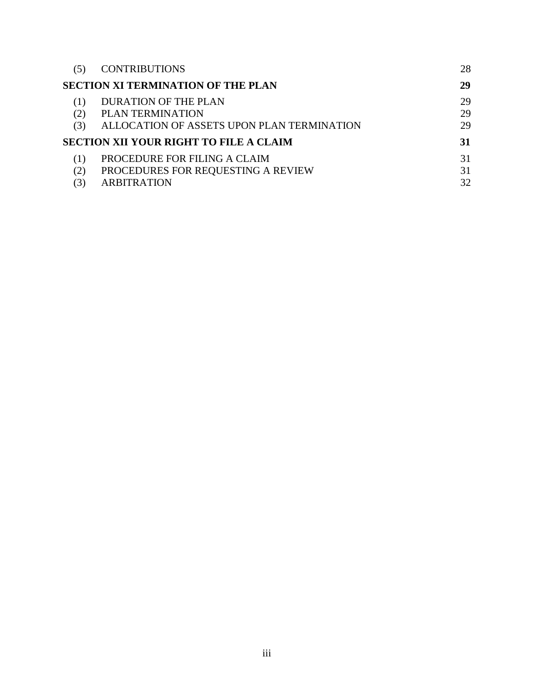|     | <b>CONTRIBUTIONS</b>                          | 28 |
|-----|-----------------------------------------------|----|
|     | <b>SECTION XI TERMINATION OF THE PLAN</b>     | 29 |
|     | DURATION OF THE PLAN                          | 29 |
|     | PLAN TERMINATION                              | 29 |
| (3) | ALLOCATION OF ASSETS UPON PLAN TERMINATION    | 29 |
|     | <b>SECTION XII YOUR RIGHT TO FILE A CLAIM</b> | 31 |
|     | PROCEDURE FOR FILING A CLAIM                  | 31 |
|     | PROCEDURES FOR REQUESTING A REVIEW            | 31 |
|     | <b>ARBITRATION</b>                            | 32 |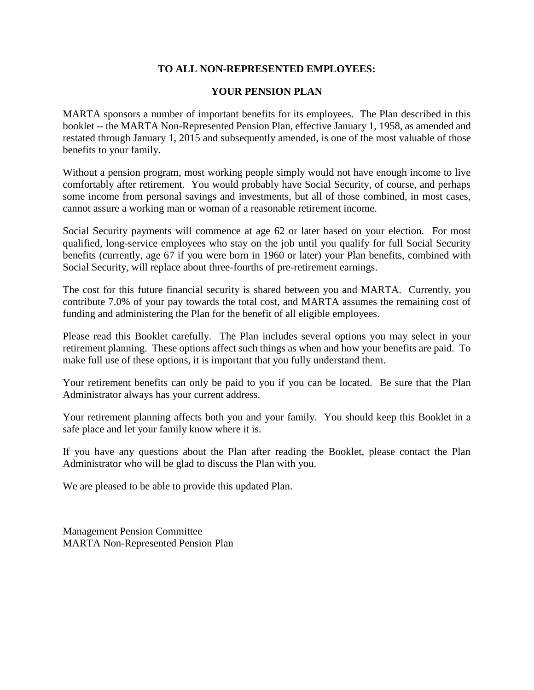# **TO ALL NON-REPRESENTED EMPLOYEES:**

# **YOUR PENSION PLAN**

MARTA sponsors a number of important benefits for its employees. The Plan described in this booklet -- the MARTA Non-Represented Pension Plan, effective January 1, 1958, as amended and restated through January 1, 2015 and subsequently amended, is one of the most valuable of those benefits to your family.

Without a pension program, most working people simply would not have enough income to live comfortably after retirement. You would probably have Social Security, of course, and perhaps some income from personal savings and investments, but all of those combined, in most cases, cannot assure a working man or woman of a reasonable retirement income.

Social Security payments will commence at age 62 or later based on your election. For most qualified, long-service employees who stay on the job until you qualify for full Social Security benefits (currently, age 67 if you were born in 1960 or later) your Plan benefits, combined with Social Security, will replace about three-fourths of pre-retirement earnings.

The cost for this future financial security is shared between you and MARTA. Currently, you contribute 7.0% of your pay towards the total cost, and MARTA assumes the remaining cost of funding and administering the Plan for the benefit of all eligible employees.

Please read this Booklet carefully. The Plan includes several options you may select in your retirement planning. These options affect such things as when and how your benefits are paid. To make full use of these options, it is important that you fully understand them.

Your retirement benefits can only be paid to you if you can be located. Be sure that the Plan Administrator always has your current address.

Your retirement planning affects both you and your family. You should keep this Booklet in a safe place and let your family know where it is.

If you have any questions about the Plan after reading the Booklet, please contact the Plan Administrator who will be glad to discuss the Plan with you.

We are pleased to be able to provide this updated Plan.

Management Pension Committee MARTA Non-Represented Pension Plan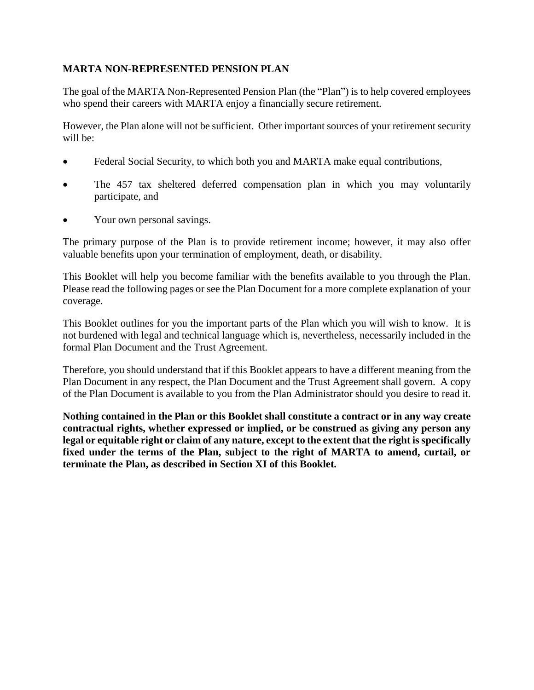# **MARTA NON-REPRESENTED PENSION PLAN**

The goal of the MARTA Non-Represented Pension Plan (the "Plan") is to help covered employees who spend their careers with MARTA enjoy a financially secure retirement.

However, the Plan alone will not be sufficient. Other important sources of your retirement security will be:

- Federal Social Security, to which both you and MARTA make equal contributions,
- The 457 tax sheltered deferred compensation plan in which you may voluntarily participate, and
- Your own personal savings.

The primary purpose of the Plan is to provide retirement income; however, it may also offer valuable benefits upon your termination of employment, death, or disability.

This Booklet will help you become familiar with the benefits available to you through the Plan. Please read the following pages or see the Plan Document for a more complete explanation of your coverage.

This Booklet outlines for you the important parts of the Plan which you will wish to know. It is not burdened with legal and technical language which is, nevertheless, necessarily included in the formal Plan Document and the Trust Agreement.

Therefore, you should understand that if this Booklet appears to have a different meaning from the Plan Document in any respect, the Plan Document and the Trust Agreement shall govern. A copy of the Plan Document is available to you from the Plan Administrator should you desire to read it.

**Nothing contained in the Plan or this Booklet shall constitute a contract or in any way create contractual rights, whether expressed or implied, or be construed as giving any person any legal or equitable right or claim of any nature, except to the extent that the right is specifically fixed under the terms of the Plan, subject to the right of MARTA to amend, curtail, or terminate the Plan, as described in Section XI of this Booklet.**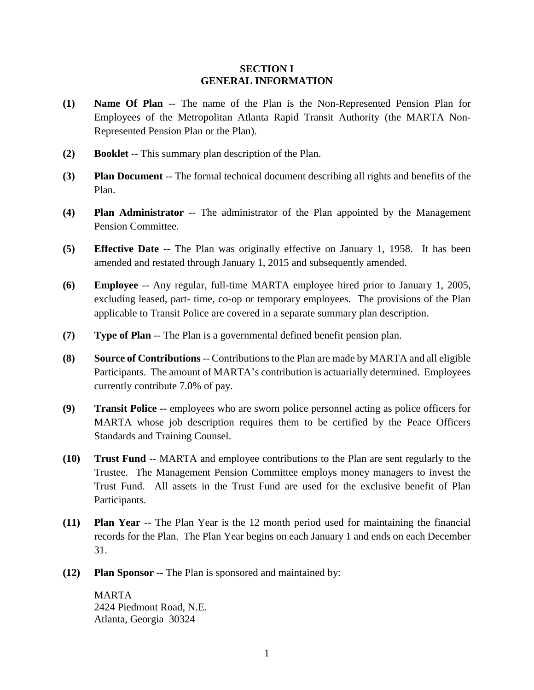## **SECTION I GENERAL INFORMATION**

- <span id="page-6-1"></span><span id="page-6-0"></span>**(1) Name Of Plan** -- The name of the Plan is the Non-Represented Pension Plan for Employees of the Metropolitan Atlanta Rapid Transit Authority (the MARTA Non-Represented Pension Plan or the Plan).
- <span id="page-6-2"></span>**(2) Booklet** -- This summary plan description of the Plan.
- <span id="page-6-3"></span>**(3) Plan Document** -- The formal technical document describing all rights and benefits of the Plan.
- <span id="page-6-4"></span>**(4) Plan Administrator** -- The administrator of the Plan appointed by the Management Pension Committee.
- <span id="page-6-5"></span>**(5) Effective Date** -- The Plan was originally effective on January 1, 1958. It has been amended and restated through January 1, 2015 and subsequently amended.
- <span id="page-6-6"></span>**(6) Employee** -- Any regular, full-time MARTA employee hired prior to January 1, 2005, excluding leased, part- time, co-op or temporary employees. The provisions of the Plan applicable to Transit Police are covered in a separate summary plan description.
- <span id="page-6-7"></span>**(7) Type of Plan** -- The Plan is a governmental defined benefit pension plan.
- <span id="page-6-8"></span>**(8) Source of Contributions** -- Contributions to the Plan are made by MARTA and all eligible Participants. The amount of MARTA's contribution is actuarially determined. Employees currently contribute 7.0% of pay.
- <span id="page-6-9"></span>**(9) Transit Police --** employees who are sworn police personnel acting as police officers for MARTA whose job description requires them to be certified by the Peace Officers Standards and Training Counsel.
- <span id="page-6-10"></span>**(10) Trust Fund** -- MARTA and employee contributions to the Plan are sent regularly to the Trustee. The Management Pension Committee employs money managers to invest the Trust Fund. All assets in the Trust Fund are used for the exclusive benefit of Plan Participants.
- <span id="page-6-11"></span>**(11) Plan Year** -- The Plan Year is the 12 month period used for maintaining the financial records for the Plan. The Plan Year begins on each January 1 and ends on each December 31.
- <span id="page-6-12"></span>**(12) Plan Sponsor** -- The Plan is sponsored and maintained by:

MARTA 2424 Piedmont Road, N.E. Atlanta, Georgia 30324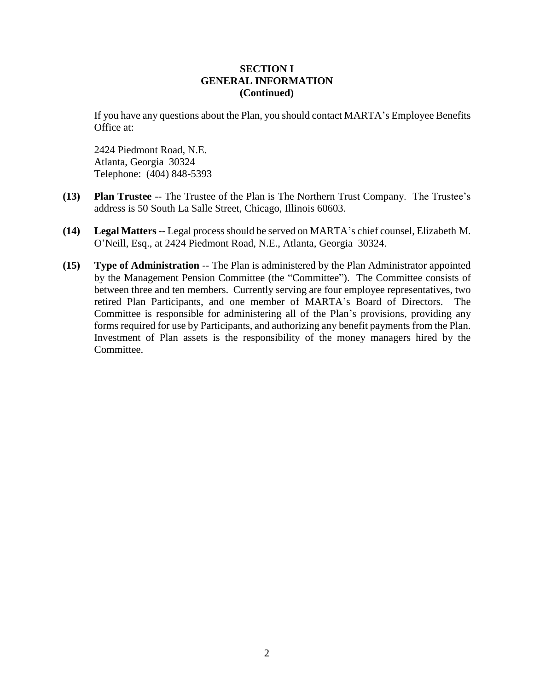# **SECTION I GENERAL INFORMATION (Continued)**

If you have any questions about the Plan, you should contact MARTA's Employee Benefits Office at:

2424 Piedmont Road, N.E. Atlanta, Georgia 30324 Telephone: (404) 848-5393

- <span id="page-7-0"></span>**(13) Plan Trustee** -- The Trustee of the Plan is The Northern Trust Company. The Trustee's address is 50 South La Salle Street, Chicago, Illinois 60603.
- <span id="page-7-1"></span>**(14) Legal Matters**-- Legal process should be served on MARTA's chief counsel, Elizabeth M. O'Neill, Esq., at 2424 Piedmont Road, N.E., Atlanta, Georgia 30324.
- <span id="page-7-2"></span>**(15) Type of Administration** -- The Plan is administered by the Plan Administrator appointed by the Management Pension Committee (the "Committee"). The Committee consists of between three and ten members. Currently serving are four employee representatives, two retired Plan Participants, and one member of MARTA's Board of Directors. The Committee is responsible for administering all of the Plan's provisions, providing any forms required for use by Participants, and authorizing any benefit payments from the Plan. Investment of Plan assets is the responsibility of the money managers hired by the Committee.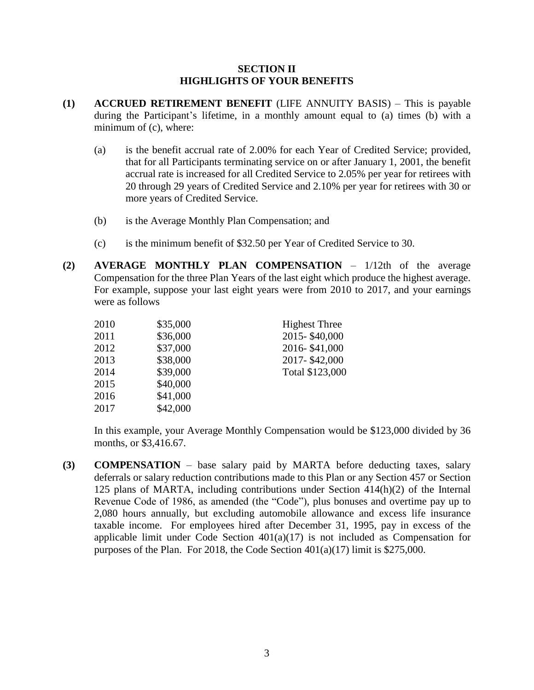## **SECTION II HIGHLIGHTS OF YOUR BENEFITS**

- <span id="page-8-1"></span><span id="page-8-0"></span>**(1) ACCRUED RETIREMENT BENEFIT** (LIFE ANNUITY BASIS) – This is payable during the Participant's lifetime, in a monthly amount equal to (a) times (b) with a minimum of (c), where:
	- (a) is the benefit accrual rate of 2.00% for each Year of Credited Service; provided, that for all Participants terminating service on or after January 1, 2001, the benefit accrual rate is increased for all Credited Service to 2.05% per year for retirees with 20 through 29 years of Credited Service and 2.10% per year for retirees with 30 or more years of Credited Service.
	- (b) is the Average Monthly Plan Compensation; and
	- (c) is the minimum benefit of \$32.50 per Year of Credited Service to 30.
- <span id="page-8-2"></span>**(2) AVERAGE MONTHLY PLAN COMPENSATION** – 1/12th of the average Compensation for the three Plan Years of the last eight which produce the highest average. For example, suppose your last eight years were from 2010 to 2017, and your earnings were as follows

| 2010 | \$35,000 | <b>Highest Three</b> |
|------|----------|----------------------|
| 2011 | \$36,000 | 2015-\$40,000        |
| 2012 | \$37,000 | 2016-\$41,000        |
| 2013 | \$38,000 | 2017-\$42,000        |
| 2014 | \$39,000 | Total \$123,000      |
| 2015 | \$40,000 |                      |
| 2016 | \$41,000 |                      |
| 2017 | \$42,000 |                      |
|      |          |                      |

In this example, your Average Monthly Compensation would be \$123,000 divided by 36 months, or \$3,416.67.

<span id="page-8-3"></span>**(3) COMPENSATION** – base salary paid by MARTA before deducting taxes, salary deferrals or salary reduction contributions made to this Plan or any Section 457 or Section 125 plans of MARTA, including contributions under Section 414(h)(2) of the Internal Revenue Code of 1986, as amended (the "Code"), plus bonuses and overtime pay up to 2,080 hours annually, but excluding automobile allowance and excess life insurance taxable income. For employees hired after December 31, 1995, pay in excess of the applicable limit under Code Section 401(a)(17) is not included as Compensation for purposes of the Plan. For 2018, the Code Section 401(a)(17) limit is \$275,000.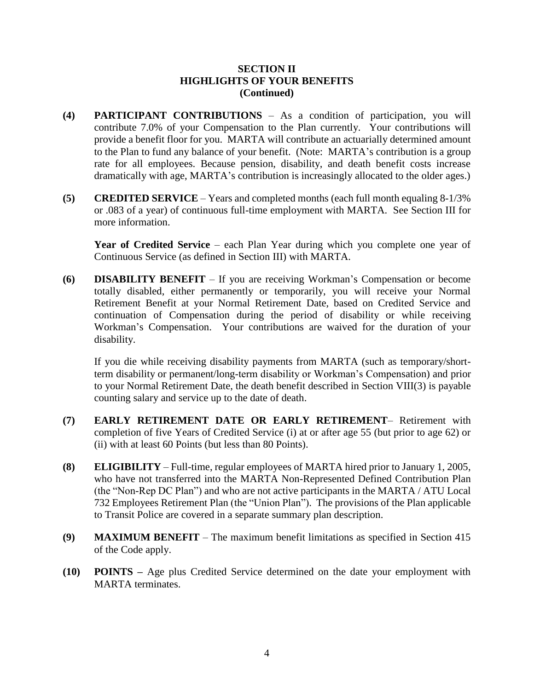# **SECTION II HIGHLIGHTS OF YOUR BENEFITS (Continued)**

- <span id="page-9-0"></span>**(4) PARTICIPANT CONTRIBUTIONS** – As a condition of participation, you will contribute 7.0% of your Compensation to the Plan currently. Your contributions will provide a benefit floor for you. MARTA will contribute an actuarially determined amount to the Plan to fund any balance of your benefit. (Note: MARTA's contribution is a group rate for all employees. Because pension, disability, and death benefit costs increase dramatically with age, MARTA's contribution is increasingly allocated to the older ages.)
- <span id="page-9-1"></span>**(5) CREDITED SERVICE** – Years and completed months (each full month equaling 8-1/3% or .083 of a year) of continuous full-time employment with MARTA. See Section III for more information.

Year of Credited Service – each Plan Year during which you complete one year of Continuous Service (as defined in Section III) with MARTA.

<span id="page-9-2"></span>**(6) DISABILITY BENEFIT** – If you are receiving Workman's Compensation or become totally disabled, either permanently or temporarily, you will receive your Normal Retirement Benefit at your Normal Retirement Date, based on Credited Service and continuation of Compensation during the period of disability or while receiving Workman's Compensation. Your contributions are waived for the duration of your disability.

If you die while receiving disability payments from MARTA (such as temporary/shortterm disability or permanent/long-term disability or Workman's Compensation) and prior to your Normal Retirement Date, the death benefit described in Section VIII(3) is payable counting salary and service up to the date of death.

- <span id="page-9-3"></span>**(7) EARLY RETIREMENT DATE OR EARLY RETIREMENT**– Retirement with completion of five Years of Credited Service (i) at or after age 55 (but prior to age 62) or (ii) with at least 60 Points (but less than 80 Points).
- <span id="page-9-4"></span>**(8) ELIGIBILITY** – Full-time, regular employees of MARTA hired prior to January 1, 2005, who have not transferred into the MARTA Non-Represented Defined Contribution Plan (the "Non-Rep DC Plan") and who are not active participants in the MARTA / ATU Local 732 Employees Retirement Plan (the "Union Plan"). The provisions of the Plan applicable to Transit Police are covered in a separate summary plan description.
- <span id="page-9-5"></span>**(9) MAXIMUM BENEFIT** – The maximum benefit limitations as specified in Section 415 of the Code apply.
- <span id="page-9-6"></span>**(10) POINTS –** Age plus Credited Service determined on the date your employment with MARTA terminates.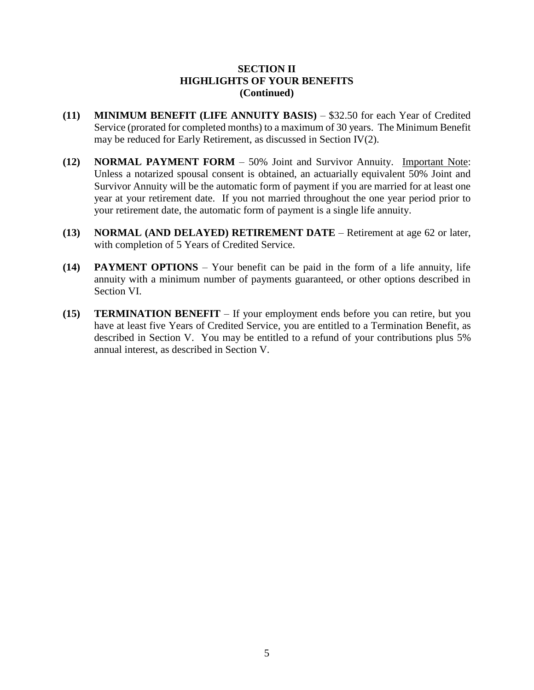# **SECTION II HIGHLIGHTS OF YOUR BENEFITS (Continued)**

- <span id="page-10-0"></span>**(11) MINIMUM BENEFIT (LIFE ANNUITY BASIS)** – \$32.50 for each Year of Credited Service (prorated for completed months) to a maximum of 30 years. The Minimum Benefit may be reduced for Early Retirement, as discussed in Section IV(2).
- <span id="page-10-1"></span>**(12) NORMAL PAYMENT FORM** – 50% Joint and Survivor Annuity. Important Note: Unless a notarized spousal consent is obtained, an actuarially equivalent 50% Joint and Survivor Annuity will be the automatic form of payment if you are married for at least one year at your retirement date. If you not married throughout the one year period prior to your retirement date, the automatic form of payment is a single life annuity.
- <span id="page-10-2"></span>**(13) NORMAL (AND DELAYED) RETIREMENT DATE** – Retirement at age 62 or later, with completion of 5 Years of Credited Service.
- <span id="page-10-3"></span>**(14) PAYMENT OPTIONS** – Your benefit can be paid in the form of a life annuity, life annuity with a minimum number of payments guaranteed, or other options described in Section VI.
- <span id="page-10-4"></span>**(15) TERMINATION BENEFIT** – If your employment ends before you can retire, but you have at least five Years of Credited Service, you are entitled to a Termination Benefit, as described in Section V. You may be entitled to a refund of your contributions plus 5% annual interest, as described in Section V.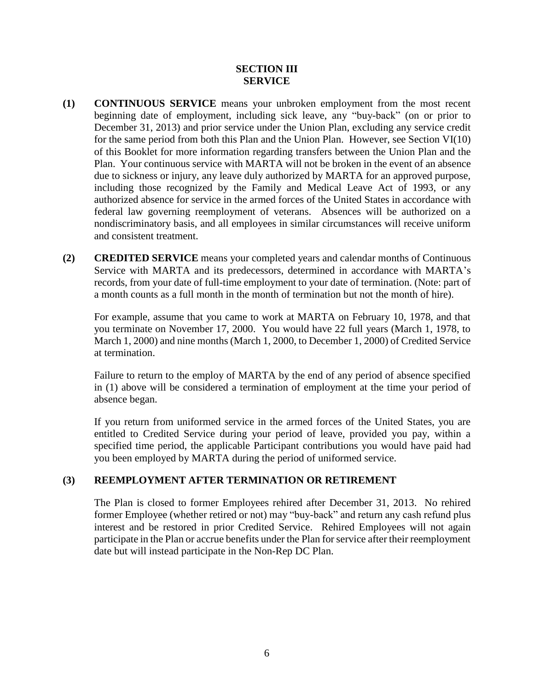# **SECTION III SERVICE**

- <span id="page-11-1"></span><span id="page-11-0"></span>**(1) CONTINUOUS SERVICE** means your unbroken employment from the most recent beginning date of employment, including sick leave, any "buy-back" (on or prior to December 31, 2013) and prior service under the Union Plan, excluding any service credit for the same period from both this Plan and the Union Plan. However, see Section VI(10) of this Booklet for more information regarding transfers between the Union Plan and the Plan. Your continuous service with MARTA will not be broken in the event of an absence due to sickness or injury, any leave duly authorized by MARTA for an approved purpose, including those recognized by the Family and Medical Leave Act of 1993, or any authorized absence for service in the armed forces of the United States in accordance with federal law governing reemployment of veterans. Absences will be authorized on a nondiscriminatory basis, and all employees in similar circumstances will receive uniform and consistent treatment.
- <span id="page-11-2"></span>**(2) CREDITED SERVICE** means your completed years and calendar months of Continuous Service with MARTA and its predecessors, determined in accordance with MARTA's records, from your date of full-time employment to your date of termination. (Note: part of a month counts as a full month in the month of termination but not the month of hire).

For example, assume that you came to work at MARTA on February 10, 1978, and that you terminate on November 17, 2000. You would have 22 full years (March 1, 1978, to March 1, 2000) and nine months (March 1, 2000, to December 1, 2000) of Credited Service at termination.

Failure to return to the employ of MARTA by the end of any period of absence specified in (1) above will be considered a termination of employment at the time your period of absence began.

If you return from uniformed service in the armed forces of the United States, you are entitled to Credited Service during your period of leave, provided you pay, within a specified time period, the applicable Participant contributions you would have paid had you been employed by MARTA during the period of uniformed service.

## <span id="page-11-3"></span>**(3) REEMPLOYMENT AFTER TERMINATION OR RETIREMENT**

The Plan is closed to former Employees rehired after December 31, 2013. No rehired former Employee (whether retired or not) may "buy-back" and return any cash refund plus interest and be restored in prior Credited Service. Rehired Employees will not again participate in the Plan or accrue benefits under the Plan for service after their reemployment date but will instead participate in the Non-Rep DC Plan.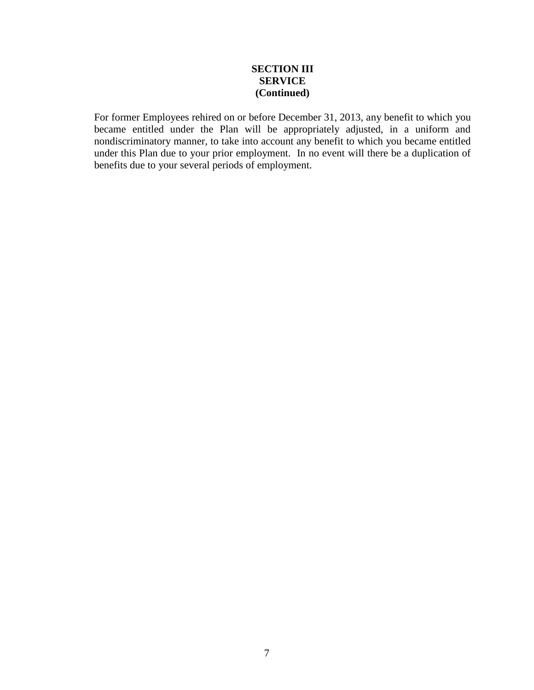# **SECTION III SERVICE (Continued)**

For former Employees rehired on or before December 31, 2013, any benefit to which you became entitled under the Plan will be appropriately adjusted, in a uniform and nondiscriminatory manner, to take into account any benefit to which you became entitled under this Plan due to your prior employment. In no event will there be a duplication of benefits due to your several periods of employment.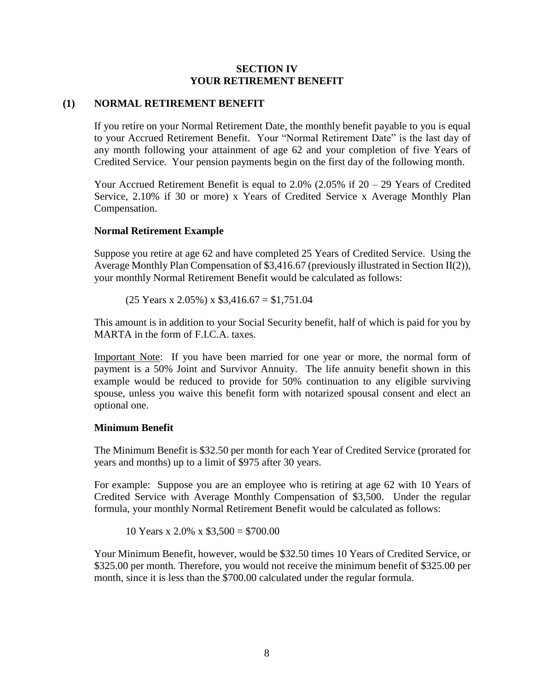## **SECTION IV YOUR RETIREMENT BENEFIT**

## <span id="page-13-1"></span><span id="page-13-0"></span>**(1) NORMAL RETIREMENT BENEFIT**

If you retire on your Normal Retirement Date, the monthly benefit payable to you is equal to your Accrued Retirement Benefit. Your "Normal Retirement Date" is the last day of any month following your attainment of age 62 and your completion of five Years of Credited Service. Your pension payments begin on the first day of the following month.

Your Accrued Retirement Benefit is equal to 2.0% (2.05% if 20 – 29 Years of Credited Service, 2.10% if 30 or more) x Years of Credited Service x Average Monthly Plan Compensation.

## **Normal Retirement Example**

Suppose you retire at age 62 and have completed 25 Years of Credited Service. Using the Average Monthly Plan Compensation of \$3,416.67 (previously illustrated in Section II(2)), your monthly Normal Retirement Benefit would be calculated as follows:

 $(25$  Years x 2.05%) x \$3,416.67 = \$1,751.04

This amount is in addition to your Social Security benefit, half of which is paid for you by MARTA in the form of F.I.C.A. taxes.

Important Note: If you have been married for one year or more, the normal form of payment is a 50% Joint and Survivor Annuity. The life annuity benefit shown in this example would be reduced to provide for 50% continuation to any eligible surviving spouse, unless you waive this benefit form with notarized spousal consent and elect an optional one.

## **Minimum Benefit**

The Minimum Benefit is \$32.50 per month for each Year of Credited Service (prorated for years and months) up to a limit of \$975 after 30 years.

For example: Suppose you are an employee who is retiring at age 62 with 10 Years of Credited Service with Average Monthly Compensation of \$3,500. Under the regular formula, your monthly Normal Retirement Benefit would be calculated as follows:

10 Years x 2.0% x \$3,500 = \$700.00

Your Minimum Benefit, however, would be \$32.50 times 10 Years of Credited Service, or \$325.00 per month. Therefore, you would not receive the minimum benefit of \$325.00 per month, since it is less than the \$700.00 calculated under the regular formula.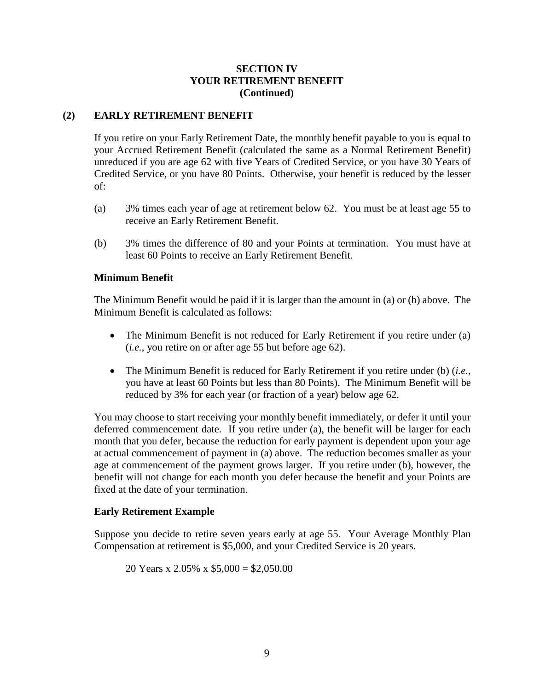# **SECTION IV YOUR RETIREMENT BENEFIT (Continued)**

# <span id="page-14-0"></span>**(2) EARLY RETIREMENT BENEFIT**

If you retire on your Early Retirement Date, the monthly benefit payable to you is equal to your Accrued Retirement Benefit (calculated the same as a Normal Retirement Benefit) unreduced if you are age 62 with five Years of Credited Service, or you have 30 Years of Credited Service, or you have 80 Points. Otherwise, your benefit is reduced by the lesser of:

- (a) 3% times each year of age at retirement below 62. You must be at least age 55 to receive an Early Retirement Benefit.
- (b) 3% times the difference of 80 and your Points at termination. You must have at least 60 Points to receive an Early Retirement Benefit.

## **Minimum Benefit**

The Minimum Benefit would be paid if it is larger than the amount in (a) or (b) above. The Minimum Benefit is calculated as follows:

- The Minimum Benefit is not reduced for Early Retirement if you retire under (a) (*i.e.*, you retire on or after age 55 but before age 62).
- The Minimum Benefit is reduced for Early Retirement if you retire under (b) (*i.e.*, you have at least 60 Points but less than 80 Points). The Minimum Benefit will be reduced by 3% for each year (or fraction of a year) below age 62.

You may choose to start receiving your monthly benefit immediately, or defer it until your deferred commencement date. If you retire under (a), the benefit will be larger for each month that you defer, because the reduction for early payment is dependent upon your age at actual commencement of payment in (a) above. The reduction becomes smaller as your age at commencement of the payment grows larger. If you retire under (b), however, the benefit will not change for each month you defer because the benefit and your Points are fixed at the date of your termination.

## **Early Retirement Example**

Suppose you decide to retire seven years early at age 55. Your Average Monthly Plan Compensation at retirement is \$5,000, and your Credited Service is 20 years.

20 Years x 2.05% x \$5,000 = \$2,050.00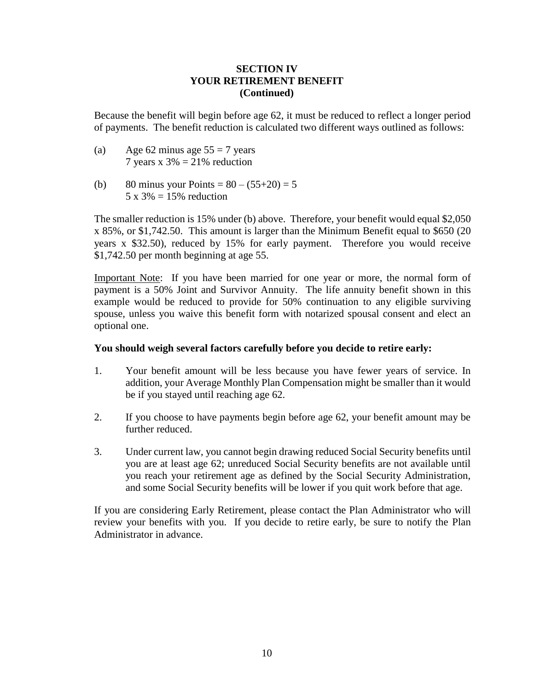# **SECTION IV YOUR RETIREMENT BENEFIT (Continued)**

Because the benefit will begin before age 62, it must be reduced to reflect a longer period of payments. The benefit reduction is calculated two different ways outlined as follows:

- (a) Age 62 minus age  $55 = 7$  years 7 years x  $3\% = 21\%$  reduction
- (b) 80 minus your Points =  $80 (55+20) = 5$  $5 \times 3\% = 15\%$  reduction

The smaller reduction is 15% under (b) above. Therefore, your benefit would equal \$2,050 x 85%, or \$1,742.50. This amount is larger than the Minimum Benefit equal to \$650 (20 years x \$32.50), reduced by 15% for early payment. Therefore you would receive \$1,742.50 per month beginning at age 55.

Important Note: If you have been married for one year or more, the normal form of payment is a 50% Joint and Survivor Annuity. The life annuity benefit shown in this example would be reduced to provide for 50% continuation to any eligible surviving spouse, unless you waive this benefit form with notarized spousal consent and elect an optional one.

## **You should weigh several factors carefully before you decide to retire early:**

- 1. Your benefit amount will be less because you have fewer years of service. In addition, your Average Monthly Plan Compensation might be smaller than it would be if you stayed until reaching age 62.
- 2. If you choose to have payments begin before age 62, your benefit amount may be further reduced.
- 3. Under current law, you cannot begin drawing reduced Social Security benefits until you are at least age 62; unreduced Social Security benefits are not available until you reach your retirement age as defined by the Social Security Administration, and some Social Security benefits will be lower if you quit work before that age.

If you are considering Early Retirement, please contact the Plan Administrator who will review your benefits with you. If you decide to retire early, be sure to notify the Plan Administrator in advance.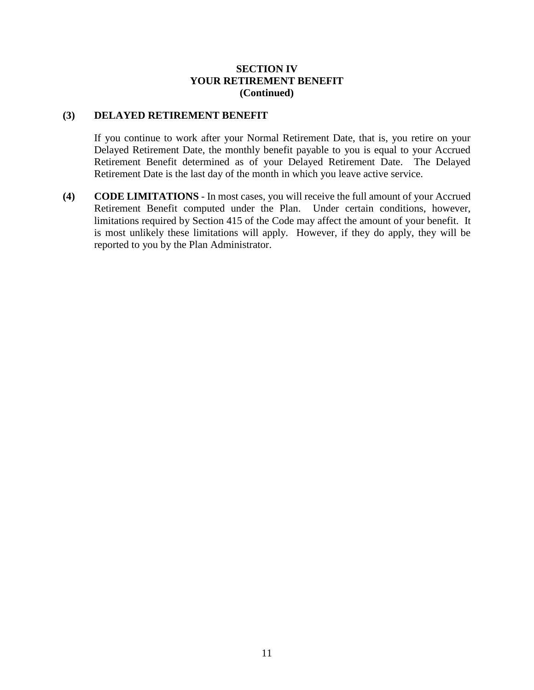# **SECTION IV YOUR RETIREMENT BENEFIT (Continued)**

## <span id="page-16-0"></span>**(3) DELAYED RETIREMENT BENEFIT**

If you continue to work after your Normal Retirement Date, that is, you retire on your Delayed Retirement Date, the monthly benefit payable to you is equal to your Accrued Retirement Benefit determined as of your Delayed Retirement Date. The Delayed Retirement Date is the last day of the month in which you leave active service.

<span id="page-16-1"></span>**(4) CODE LIMITATIONS** - In most cases, you will receive the full amount of your Accrued Retirement Benefit computed under the Plan. Under certain conditions, however, limitations required by Section 415 of the Code may affect the amount of your benefit. It is most unlikely these limitations will apply. However, if they do apply, they will be reported to you by the Plan Administrator.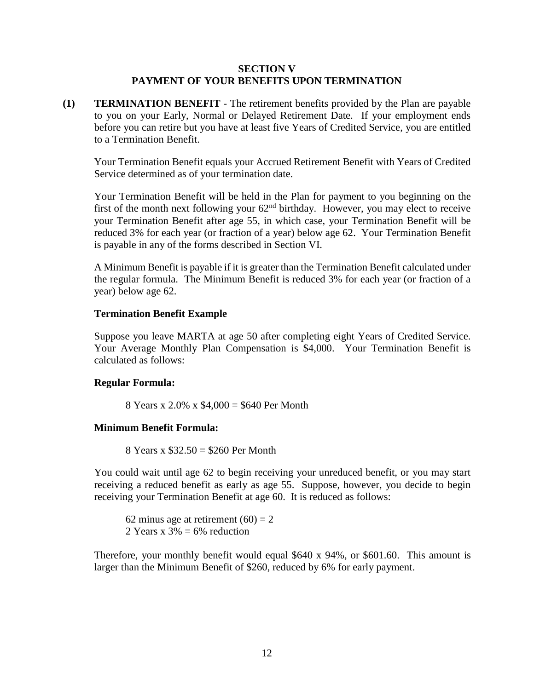## **SECTION V PAYMENT OF YOUR BENEFITS UPON TERMINATION**

<span id="page-17-1"></span><span id="page-17-0"></span>**(1) TERMINATION BENEFIT** - The retirement benefits provided by the Plan are payable to you on your Early, Normal or Delayed Retirement Date. If your employment ends before you can retire but you have at least five Years of Credited Service, you are entitled to a Termination Benefit.

Your Termination Benefit equals your Accrued Retirement Benefit with Years of Credited Service determined as of your termination date.

Your Termination Benefit will be held in the Plan for payment to you beginning on the first of the month next following your  $62<sup>nd</sup>$  birthday. However, you may elect to receive your Termination Benefit after age 55, in which case, your Termination Benefit will be reduced 3% for each year (or fraction of a year) below age 62. Your Termination Benefit is payable in any of the forms described in Section VI.

A Minimum Benefit is payable if it is greater than the Termination Benefit calculated under the regular formula. The Minimum Benefit is reduced 3% for each year (or fraction of a year) below age 62.

## **Termination Benefit Example**

Suppose you leave MARTA at age 50 after completing eight Years of Credited Service. Your Average Monthly Plan Compensation is \$4,000. Your Termination Benefit is calculated as follows:

#### **Regular Formula:**

8 Years x 2.0% x \$4,000 = \$640 Per Month

## **Minimum Benefit Formula:**

8 Years x \$32.50 = \$260 Per Month

You could wait until age 62 to begin receiving your unreduced benefit, or you may start receiving a reduced benefit as early as age 55. Suppose, however, you decide to begin receiving your Termination Benefit at age 60. It is reduced as follows:

62 minus age at retirement  $(60) = 2$ 2 Years x  $3\% = 6\%$  reduction

Therefore, your monthly benefit would equal \$640 x 94%, or \$601.60. This amount is larger than the Minimum Benefit of \$260, reduced by 6% for early payment.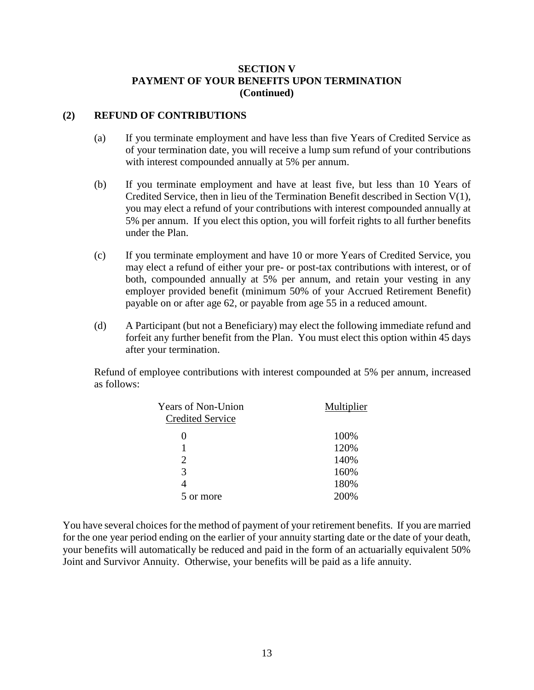## <span id="page-18-0"></span>**(2) REFUND OF CONTRIBUTIONS**

- (a) If you terminate employment and have less than five Years of Credited Service as of your termination date, you will receive a lump sum refund of your contributions with interest compounded annually at 5% per annum.
- (b) If you terminate employment and have at least five, but less than 10 Years of Credited Service, then in lieu of the Termination Benefit described in Section V(1), you may elect a refund of your contributions with interest compounded annually at 5% per annum. If you elect this option, you will forfeit rights to all further benefits under the Plan.
- (c) If you terminate employment and have 10 or more Years of Credited Service, you may elect a refund of either your pre- or post-tax contributions with interest, or of both, compounded annually at 5% per annum, and retain your vesting in any employer provided benefit (minimum 50% of your Accrued Retirement Benefit) payable on or after age 62, or payable from age 55 in a reduced amount.
- (d) A Participant (but not a Beneficiary) may elect the following immediate refund and forfeit any further benefit from the Plan. You must elect this option within 45 days after your termination.

Refund of employee contributions with interest compounded at 5% per annum, increased as follows:

| <b>Years of Non-Union</b>   | Multiplier |
|-----------------------------|------------|
| <b>Credited Service</b>     |            |
| $\mathbf{0}$                | 100%       |
|                             | 120%       |
| $\mathcal{D}_{\mathcal{A}}$ | 140%       |
| 3                           | 160%       |
|                             | 180%       |
| 5 or more                   | 200%       |
|                             |            |

You have several choices for the method of payment of your retirement benefits. If you are married for the one year period ending on the earlier of your annuity starting date or the date of your death, your benefits will automatically be reduced and paid in the form of an actuarially equivalent 50% Joint and Survivor Annuity. Otherwise, your benefits will be paid as a life annuity.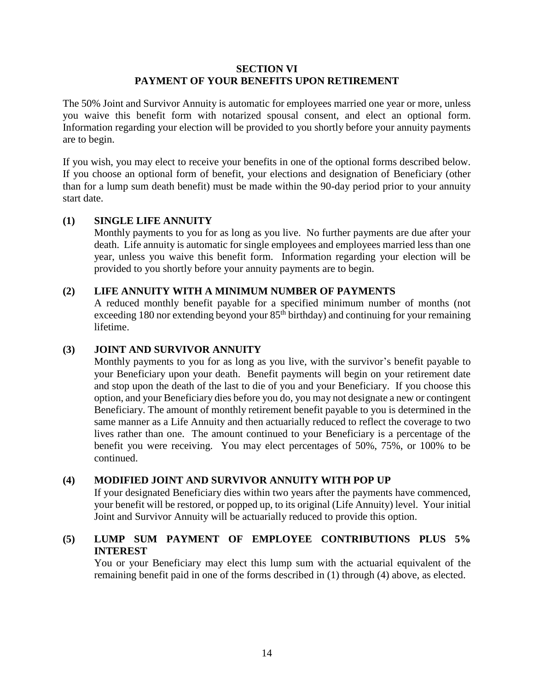## **SECTION VI PAYMENT OF YOUR BENEFITS UPON RETIREMENT**

<span id="page-19-0"></span>The 50% Joint and Survivor Annuity is automatic for employees married one year or more, unless you waive this benefit form with notarized spousal consent, and elect an optional form. Information regarding your election will be provided to you shortly before your annuity payments are to begin.

If you wish, you may elect to receive your benefits in one of the optional forms described below. If you choose an optional form of benefit, your elections and designation of Beneficiary (other than for a lump sum death benefit) must be made within the 90-day period prior to your annuity start date.

# <span id="page-19-1"></span>**(1) SINGLE LIFE ANNUITY**

Monthly payments to you for as long as you live. No further payments are due after your death. Life annuity is automatic for single employees and employees married less than one year, unless you waive this benefit form. Information regarding your election will be provided to you shortly before your annuity payments are to begin.

# <span id="page-19-2"></span>**(2) LIFE ANNUITY WITH A MINIMUM NUMBER OF PAYMENTS**

A reduced monthly benefit payable for a specified minimum number of months (not exceeding 180 nor extending beyond your 85<sup>th</sup> birthday) and continuing for your remaining lifetime.

# <span id="page-19-3"></span>**(3) JOINT AND SURVIVOR ANNUITY**

Monthly payments to you for as long as you live, with the survivor's benefit payable to your Beneficiary upon your death. Benefit payments will begin on your retirement date and stop upon the death of the last to die of you and your Beneficiary. If you choose this option, and your Beneficiary dies before you do, you may not designate a new or contingent Beneficiary. The amount of monthly retirement benefit payable to you is determined in the same manner as a Life Annuity and then actuarially reduced to reflect the coverage to two lives rather than one. The amount continued to your Beneficiary is a percentage of the benefit you were receiving. You may elect percentages of 50%, 75%, or 100% to be continued.

# <span id="page-19-4"></span>**(4) MODIFIED JOINT AND SURVIVOR ANNUITY WITH POP UP**

If your designated Beneficiary dies within two years after the payments have commenced, your benefit will be restored, or popped up, to its original (Life Annuity) level. Your initial Joint and Survivor Annuity will be actuarially reduced to provide this option.

# <span id="page-19-5"></span>**(5) LUMP SUM PAYMENT OF EMPLOYEE CONTRIBUTIONS PLUS 5% INTEREST**

You or your Beneficiary may elect this lump sum with the actuarial equivalent of the remaining benefit paid in one of the forms described in (1) through (4) above, as elected.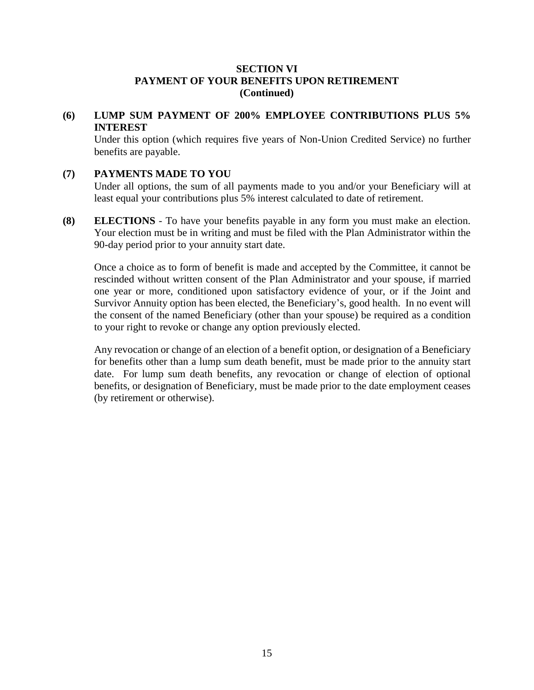# <span id="page-20-0"></span>**(6) LUMP SUM PAYMENT OF 200% EMPLOYEE CONTRIBUTIONS PLUS 5% INTEREST**

Under this option (which requires five years of Non-Union Credited Service) no further benefits are payable.

# <span id="page-20-1"></span>**(7) PAYMENTS MADE TO YOU**

Under all options, the sum of all payments made to you and/or your Beneficiary will at least equal your contributions plus 5% interest calculated to date of retirement.

<span id="page-20-2"></span>**(8) ELECTIONS** - To have your benefits payable in any form you must make an election. Your election must be in writing and must be filed with the Plan Administrator within the 90-day period prior to your annuity start date.

Once a choice as to form of benefit is made and accepted by the Committee, it cannot be rescinded without written consent of the Plan Administrator and your spouse, if married one year or more, conditioned upon satisfactory evidence of your, or if the Joint and Survivor Annuity option has been elected, the Beneficiary's, good health. In no event will the consent of the named Beneficiary (other than your spouse) be required as a condition to your right to revoke or change any option previously elected.

Any revocation or change of an election of a benefit option, or designation of a Beneficiary for benefits other than a lump sum death benefit, must be made prior to the annuity start date. For lump sum death benefits, any revocation or change of election of optional benefits, or designation of Beneficiary, must be made prior to the date employment ceases (by retirement or otherwise).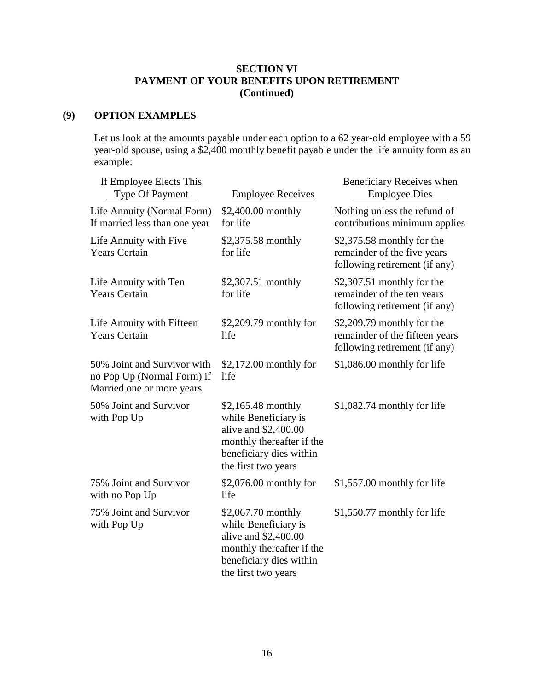# <span id="page-21-0"></span>**(9) OPTION EXAMPLES**

Let us look at the amounts payable under each option to a 62 year-old employee with a 59 year-old spouse, using a \$2,400 monthly benefit payable under the life annuity form as an example:

| If Employee Elects This<br><b>Type Of Payment</b>                                      | <b>Employee Receives</b>                                                                                                                           | Beneficiary Receives when<br><b>Employee Dies</b>                                              |
|----------------------------------------------------------------------------------------|----------------------------------------------------------------------------------------------------------------------------------------------------|------------------------------------------------------------------------------------------------|
| Life Annuity (Normal Form)<br>If married less than one year                            | \$2,400.00 monthly<br>for life                                                                                                                     | Nothing unless the refund of<br>contributions minimum applies                                  |
| Life Annuity with Five<br><b>Years Certain</b>                                         | \$2,375.58 monthly<br>for life                                                                                                                     | $$2,375.58$ monthly for the<br>remainder of the five years<br>following retirement (if any)    |
| Life Annuity with Ten<br><b>Years Certain</b>                                          | \$2,307.51 monthly<br>for life                                                                                                                     | $$2,307.51$ monthly for the<br>remainder of the ten years<br>following retirement (if any)     |
| Life Annuity with Fifteen<br><b>Years Certain</b>                                      | \$2,209.79 monthly for<br>life                                                                                                                     | $$2,209.79$ monthly for the<br>remainder of the fifteen years<br>following retirement (if any) |
| 50% Joint and Survivor with<br>no Pop Up (Normal Form) if<br>Married one or more years | $$2,172.00$ monthly for<br>life                                                                                                                    | \$1,086.00 monthly for life                                                                    |
| 50% Joint and Survivor<br>with Pop Up                                                  | $$2,165.48$ monthly<br>while Beneficiary is<br>alive and \$2,400.00<br>monthly thereafter if the<br>beneficiary dies within<br>the first two years | $$1,082.74$ monthly for life                                                                   |
| 75% Joint and Survivor<br>with no Pop Up                                               | $$2,076.00$ monthly for<br>life                                                                                                                    | $$1,557.00$ monthly for life                                                                   |
| 75% Joint and Survivor<br>with Pop Up                                                  | \$2,067.70 monthly<br>while Beneficiary is<br>alive and \$2,400.00<br>monthly thereafter if the<br>beneficiary dies within<br>the first two years  | \$1,550.77 monthly for life                                                                    |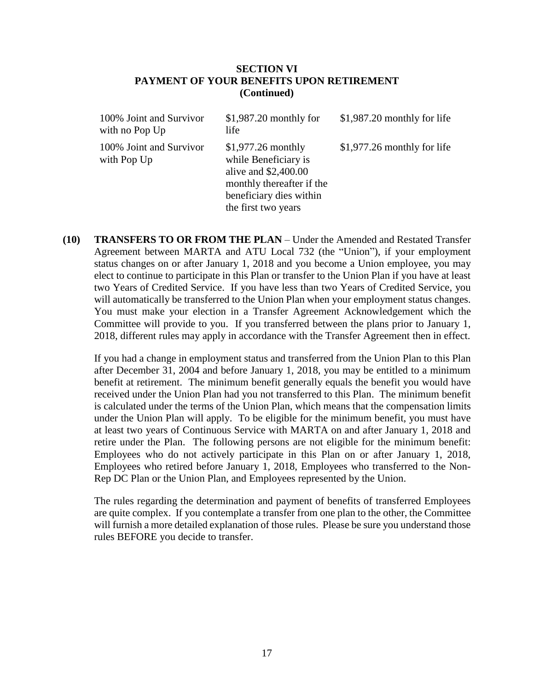| 100% Joint and Survivor<br>with no Pop Up | $$1,987.20$ monthly for<br>life                                                                                                                     | $$1,987.20$ monthly for life |
|-------------------------------------------|-----------------------------------------------------------------------------------------------------------------------------------------------------|------------------------------|
| 100% Joint and Survivor<br>with Pop Up    | $$1,977.26$ monthly<br>while Beneficiary is<br>alive and $$2,400.00$<br>monthly thereafter if the<br>beneficiary dies within<br>the first two years | $$1,977.26$ monthly for life |

<span id="page-22-0"></span>**(10) TRANSFERS TO OR FROM THE PLAN** – Under the Amended and Restated Transfer Agreement between MARTA and ATU Local 732 (the "Union"), if your employment status changes on or after January 1, 2018 and you become a Union employee, you may elect to continue to participate in this Plan or transfer to the Union Plan if you have at least two Years of Credited Service. If you have less than two Years of Credited Service, you will automatically be transferred to the Union Plan when your employment status changes. You must make your election in a Transfer Agreement Acknowledgement which the Committee will provide to you. If you transferred between the plans prior to January 1, 2018, different rules may apply in accordance with the Transfer Agreement then in effect.

If you had a change in employment status and transferred from the Union Plan to this Plan after December 31, 2004 and before January 1, 2018, you may be entitled to a minimum benefit at retirement. The minimum benefit generally equals the benefit you would have received under the Union Plan had you not transferred to this Plan. The minimum benefit is calculated under the terms of the Union Plan, which means that the compensation limits under the Union Plan will apply. To be eligible for the minimum benefit, you must have at least two years of Continuous Service with MARTA on and after January 1, 2018 and retire under the Plan. The following persons are not eligible for the minimum benefit: Employees who do not actively participate in this Plan on or after January 1, 2018, Employees who retired before January 1, 2018, Employees who transferred to the Non-Rep DC Plan or the Union Plan, and Employees represented by the Union.

The rules regarding the determination and payment of benefits of transferred Employees are quite complex. If you contemplate a transfer from one plan to the other, the Committee will furnish a more detailed explanation of those rules. Please be sure you understand those rules BEFORE you decide to transfer.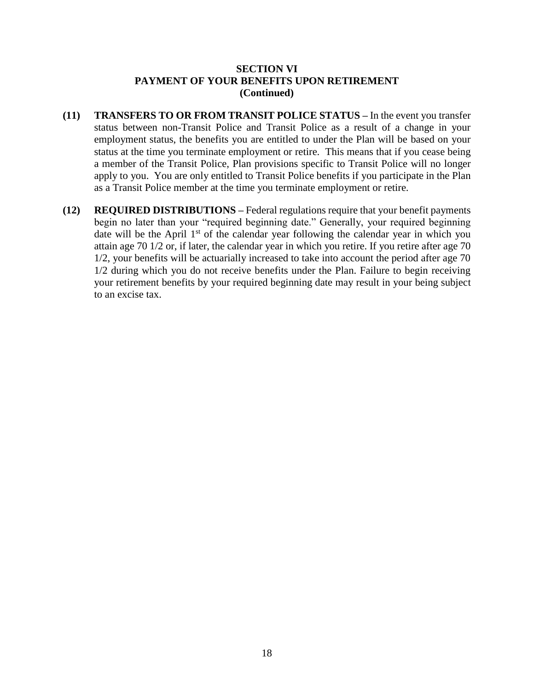- <span id="page-23-0"></span>**(11) TRANSFERS TO OR FROM TRANSIT POLICE STATUS –** In the event you transfer status between non-Transit Police and Transit Police as a result of a change in your employment status, the benefits you are entitled to under the Plan will be based on your status at the time you terminate employment or retire. This means that if you cease being a member of the Transit Police, Plan provisions specific to Transit Police will no longer apply to you. You are only entitled to Transit Police benefits if you participate in the Plan as a Transit Police member at the time you terminate employment or retire.
- <span id="page-23-1"></span>**(12) REQUIRED DISTRIBUTIONS –** Federal regulations require that your benefit payments begin no later than your "required beginning date." Generally, your required beginning date will be the April  $1<sup>st</sup>$  of the calendar year following the calendar year in which you attain age 70 1/2 or, if later, the calendar year in which you retire. If you retire after age 70 1/2, your benefits will be actuarially increased to take into account the period after age 70 1/2 during which you do not receive benefits under the Plan. Failure to begin receiving your retirement benefits by your required beginning date may result in your being subject to an excise tax.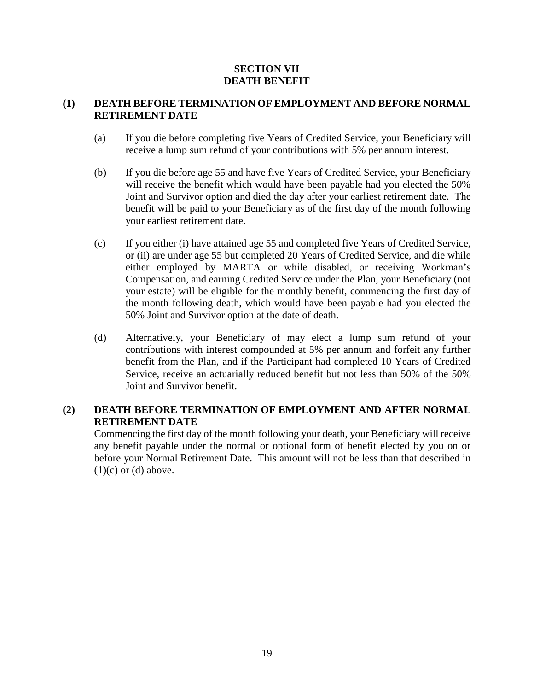# **SECTION VII DEATH BENEFIT**

# <span id="page-24-1"></span><span id="page-24-0"></span>**(1) DEATH BEFORE TERMINATION OF EMPLOYMENT AND BEFORE NORMAL RETIREMENT DATE**

- (a) If you die before completing five Years of Credited Service, your Beneficiary will receive a lump sum refund of your contributions with 5% per annum interest.
- (b) If you die before age 55 and have five Years of Credited Service, your Beneficiary will receive the benefit which would have been payable had you elected the 50% Joint and Survivor option and died the day after your earliest retirement date. The benefit will be paid to your Beneficiary as of the first day of the month following your earliest retirement date.
- (c) If you either (i) have attained age 55 and completed five Years of Credited Service, or (ii) are under age 55 but completed 20 Years of Credited Service, and die while either employed by MARTA or while disabled, or receiving Workman's Compensation, and earning Credited Service under the Plan, your Beneficiary (not your estate) will be eligible for the monthly benefit, commencing the first day of the month following death, which would have been payable had you elected the 50% Joint and Survivor option at the date of death.
- (d) Alternatively, your Beneficiary of may elect a lump sum refund of your contributions with interest compounded at 5% per annum and forfeit any further benefit from the Plan, and if the Participant had completed 10 Years of Credited Service, receive an actuarially reduced benefit but not less than 50% of the 50% Joint and Survivor benefit.

# <span id="page-24-2"></span>**(2) DEATH BEFORE TERMINATION OF EMPLOYMENT AND AFTER NORMAL RETIREMENT DATE**

Commencing the first day of the month following your death, your Beneficiary will receive any benefit payable under the normal or optional form of benefit elected by you on or before your Normal Retirement Date. This amount will not be less than that described in  $(1)(c)$  or  $(d)$  above.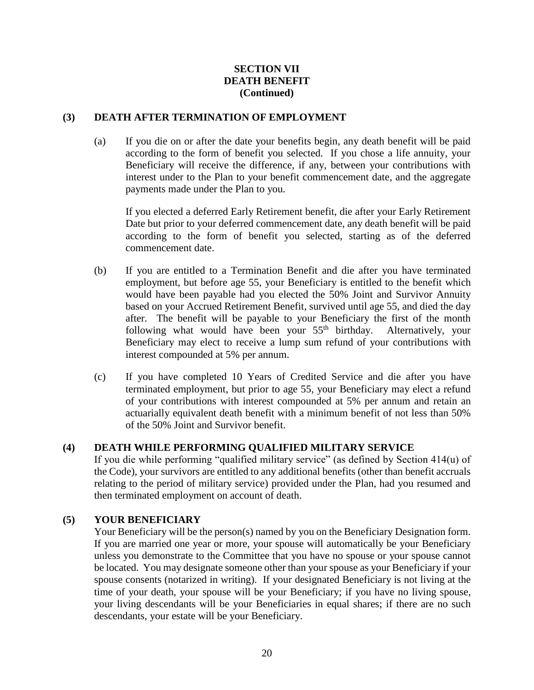# **SECTION VII DEATH BENEFIT (Continued)**

# <span id="page-25-0"></span>**(3) DEATH AFTER TERMINATION OF EMPLOYMENT**

(a) If you die on or after the date your benefits begin, any death benefit will be paid according to the form of benefit you selected. If you chose a life annuity, your Beneficiary will receive the difference, if any, between your contributions with interest under to the Plan to your benefit commencement date, and the aggregate payments made under the Plan to you.

If you elected a deferred Early Retirement benefit, die after your Early Retirement Date but prior to your deferred commencement date, any death benefit will be paid according to the form of benefit you selected, starting as of the deferred commencement date.

- (b) If you are entitled to a Termination Benefit and die after you have terminated employment, but before age 55, your Beneficiary is entitled to the benefit which would have been payable had you elected the 50% Joint and Survivor Annuity based on your Accrued Retirement Benefit, survived until age 55, and died the day after. The benefit will be payable to your Beneficiary the first of the month following what would have been your  $55<sup>th</sup>$  birthday. Alternatively, your Beneficiary may elect to receive a lump sum refund of your contributions with interest compounded at 5% per annum.
- (c) If you have completed 10 Years of Credited Service and die after you have terminated employment, but prior to age 55, your Beneficiary may elect a refund of your contributions with interest compounded at 5% per annum and retain an actuarially equivalent death benefit with a minimum benefit of not less than 50% of the 50% Joint and Survivor benefit.

# <span id="page-25-1"></span>**(4) DEATH WHILE PERFORMING QUALIFIED MILITARY SERVICE**

If you die while performing "qualified military service" (as defined by Section 414(u) of the Code), your survivors are entitled to any additional benefits (other than benefit accruals relating to the period of military service) provided under the Plan, had you resumed and then terminated employment on account of death.

# <span id="page-25-2"></span>**(5) YOUR BENEFICIARY**

Your Beneficiary will be the person(s) named by you on the Beneficiary Designation form. If you are married one year or more, your spouse will automatically be your Beneficiary unless you demonstrate to the Committee that you have no spouse or your spouse cannot be located. You may designate someone other than your spouse as your Beneficiary if your spouse consents (notarized in writing). If your designated Beneficiary is not living at the time of your death, your spouse will be your Beneficiary; if you have no living spouse, your living descendants will be your Beneficiaries in equal shares; if there are no such descendants, your estate will be your Beneficiary.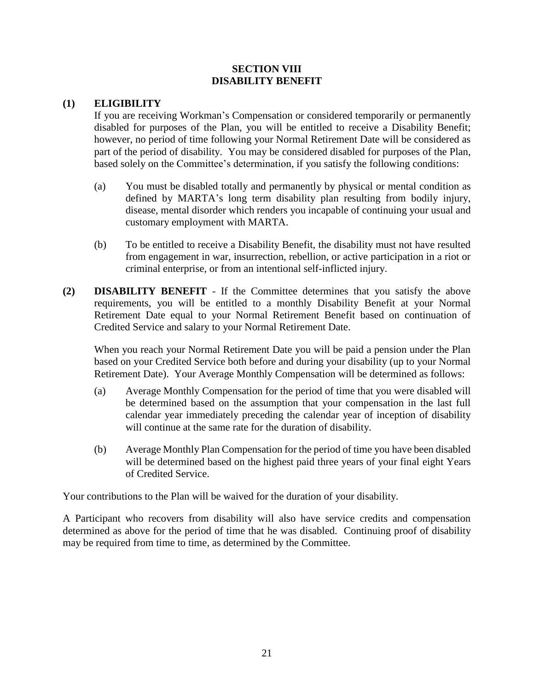# **SECTION VIII DISABILITY BENEFIT**

# <span id="page-26-1"></span><span id="page-26-0"></span>**(1) ELIGIBILITY**

If you are receiving Workman's Compensation or considered temporarily or permanently disabled for purposes of the Plan, you will be entitled to receive a Disability Benefit; however, no period of time following your Normal Retirement Date will be considered as part of the period of disability. You may be considered disabled for purposes of the Plan, based solely on the Committee's determination, if you satisfy the following conditions:

- (a) You must be disabled totally and permanently by physical or mental condition as defined by MARTA's long term disability plan resulting from bodily injury, disease, mental disorder which renders you incapable of continuing your usual and customary employment with MARTA.
- (b) To be entitled to receive a Disability Benefit, the disability must not have resulted from engagement in war, insurrection, rebellion, or active participation in a riot or criminal enterprise, or from an intentional self-inflicted injury.
- <span id="page-26-2"></span>**(2) DISABILITY BENEFIT** - If the Committee determines that you satisfy the above requirements, you will be entitled to a monthly Disability Benefit at your Normal Retirement Date equal to your Normal Retirement Benefit based on continuation of Credited Service and salary to your Normal Retirement Date.

When you reach your Normal Retirement Date you will be paid a pension under the Plan based on your Credited Service both before and during your disability (up to your Normal Retirement Date). Your Average Monthly Compensation will be determined as follows:

- (a) Average Monthly Compensation for the period of time that you were disabled will be determined based on the assumption that your compensation in the last full calendar year immediately preceding the calendar year of inception of disability will continue at the same rate for the duration of disability.
- (b) Average Monthly Plan Compensation for the period of time you have been disabled will be determined based on the highest paid three years of your final eight Years of Credited Service.

Your contributions to the Plan will be waived for the duration of your disability.

A Participant who recovers from disability will also have service credits and compensation determined as above for the period of time that he was disabled. Continuing proof of disability may be required from time to time, as determined by the Committee.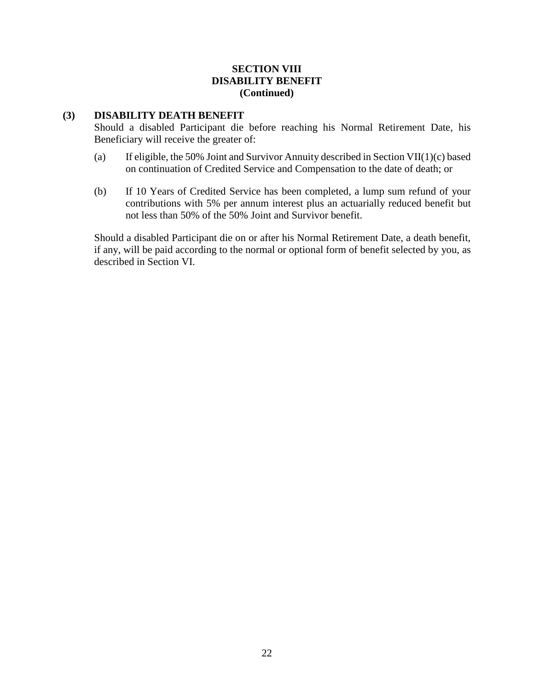# **SECTION VIII DISABILITY BENEFIT (Continued)**

## <span id="page-27-0"></span>**(3) DISABILITY DEATH BENEFIT**

Should a disabled Participant die before reaching his Normal Retirement Date, his Beneficiary will receive the greater of:

- (a) If eligible, the 50% Joint and Survivor Annuity described in Section VII(1)(c) based on continuation of Credited Service and Compensation to the date of death; or
- (b) If 10 Years of Credited Service has been completed, a lump sum refund of your contributions with 5% per annum interest plus an actuarially reduced benefit but not less than 50% of the 50% Joint and Survivor benefit.

Should a disabled Participant die on or after his Normal Retirement Date, a death benefit, if any, will be paid according to the normal or optional form of benefit selected by you, as described in Section VI.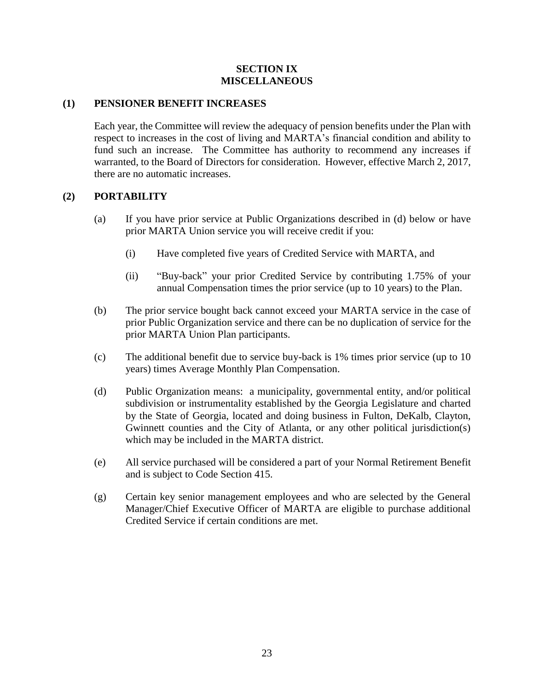# **SECTION IX MISCELLANEOUS**

# <span id="page-28-1"></span><span id="page-28-0"></span>**(1) PENSIONER BENEFIT INCREASES**

Each year, the Committee will review the adequacy of pension benefits under the Plan with respect to increases in the cost of living and MARTA's financial condition and ability to fund such an increase. The Committee has authority to recommend any increases if warranted, to the Board of Directors for consideration. However, effective March 2, 2017, there are no automatic increases.

# <span id="page-28-2"></span>**(2) PORTABILITY**

- (a) If you have prior service at Public Organizations described in (d) below or have prior MARTA Union service you will receive credit if you:
	- (i) Have completed five years of Credited Service with MARTA, and
	- (ii) "Buy-back" your prior Credited Service by contributing 1.75% of your annual Compensation times the prior service (up to 10 years) to the Plan.
- (b) The prior service bought back cannot exceed your MARTA service in the case of prior Public Organization service and there can be no duplication of service for the prior MARTA Union Plan participants.
- (c) The additional benefit due to service buy-back is 1% times prior service (up to 10 years) times Average Monthly Plan Compensation.
- (d) Public Organization means: a municipality, governmental entity, and/or political subdivision or instrumentality established by the Georgia Legislature and charted by the State of Georgia, located and doing business in Fulton, DeKalb, Clayton, Gwinnett counties and the City of Atlanta, or any other political jurisdiction(s) which may be included in the MARTA district.
- (e) All service purchased will be considered a part of your Normal Retirement Benefit and is subject to Code Section 415.
- (g) Certain key senior management employees and who are selected by the General Manager/Chief Executive Officer of MARTA are eligible to purchase additional Credited Service if certain conditions are met.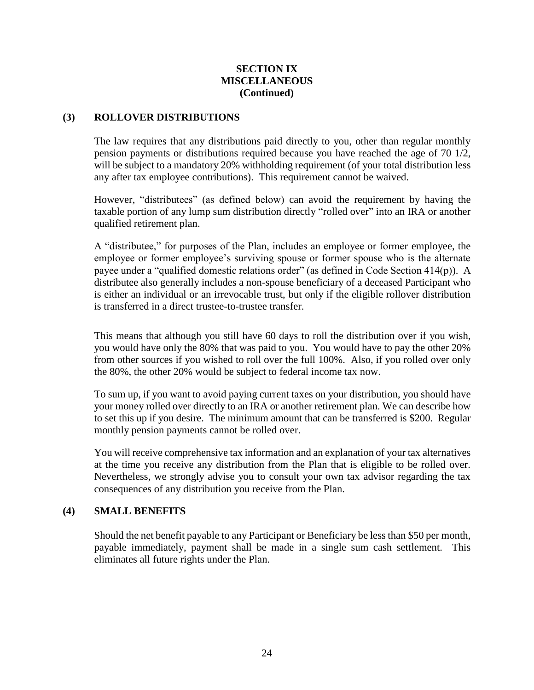# **SECTION IX MISCELLANEOUS (Continued)**

## <span id="page-29-0"></span>**(3) ROLLOVER DISTRIBUTIONS**

The law requires that any distributions paid directly to you, other than regular monthly pension payments or distributions required because you have reached the age of 70 1/2, will be subject to a mandatory 20% withholding requirement (of your total distribution less any after tax employee contributions). This requirement cannot be waived.

However, "distributees" (as defined below) can avoid the requirement by having the taxable portion of any lump sum distribution directly "rolled over" into an IRA or another qualified retirement plan.

A "distributee," for purposes of the Plan, includes an employee or former employee, the employee or former employee's surviving spouse or former spouse who is the alternate payee under a "qualified domestic relations order" (as defined in Code Section 414(p)). A distributee also generally includes a non-spouse beneficiary of a deceased Participant who is either an individual or an irrevocable trust, but only if the eligible rollover distribution is transferred in a direct trustee-to-trustee transfer.

This means that although you still have 60 days to roll the distribution over if you wish, you would have only the 80% that was paid to you. You would have to pay the other 20% from other sources if you wished to roll over the full 100%. Also, if you rolled over only the 80%, the other 20% would be subject to federal income tax now.

To sum up, if you want to avoid paying current taxes on your distribution, you should have your money rolled over directly to an IRA or another retirement plan. We can describe how to set this up if you desire. The minimum amount that can be transferred is \$200. Regular monthly pension payments cannot be rolled over.

You will receive comprehensive tax information and an explanation of your tax alternatives at the time you receive any distribution from the Plan that is eligible to be rolled over. Nevertheless, we strongly advise you to consult your own tax advisor regarding the tax consequences of any distribution you receive from the Plan.

## <span id="page-29-1"></span>**(4) SMALL BENEFITS**

Should the net benefit payable to any Participant or Beneficiary be less than \$50 per month, payable immediately, payment shall be made in a single sum cash settlement. This eliminates all future rights under the Plan.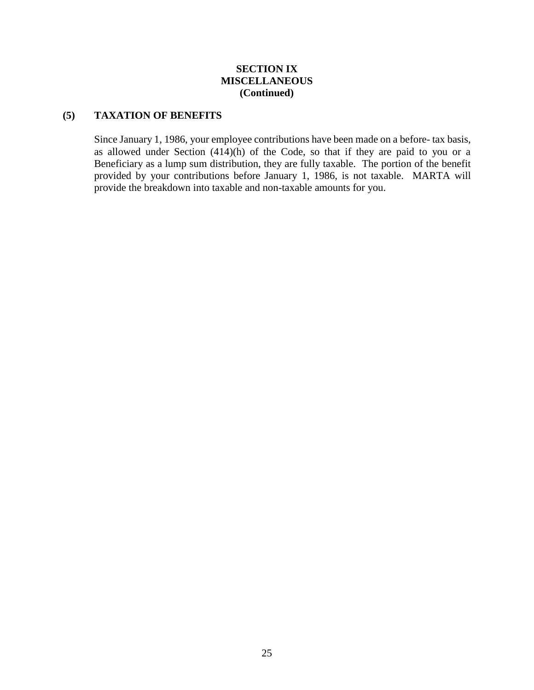# **SECTION IX MISCELLANEOUS (Continued)**

# <span id="page-30-0"></span>**(5) TAXATION OF BENEFITS**

Since January 1, 1986, your employee contributions have been made on a before- tax basis, as allowed under Section  $(414)(h)$  of the Code, so that if they are paid to you or a Beneficiary as a lump sum distribution, they are fully taxable. The portion of the benefit provided by your contributions before January 1, 1986, is not taxable. MARTA will provide the breakdown into taxable and non-taxable amounts for you.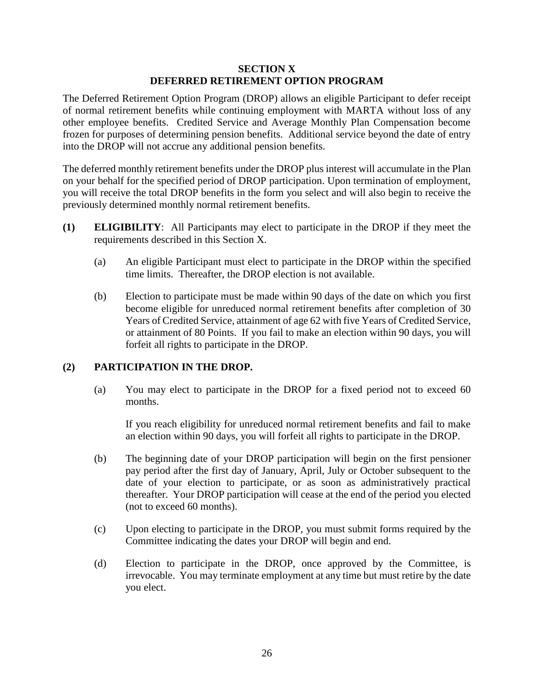## **SECTION X DEFERRED RETIREMENT OPTION PROGRAM**

<span id="page-31-0"></span>The Deferred Retirement Option Program (DROP) allows an eligible Participant to defer receipt of normal retirement benefits while continuing employment with MARTA without loss of any other employee benefits. Credited Service and Average Monthly Plan Compensation become frozen for purposes of determining pension benefits. Additional service beyond the date of entry into the DROP will not accrue any additional pension benefits.

The deferred monthly retirement benefits under the DROP plus interest will accumulate in the Plan on your behalf for the specified period of DROP participation. Upon termination of employment, you will receive the total DROP benefits in the form you select and will also begin to receive the previously determined monthly normal retirement benefits.

- <span id="page-31-1"></span>**(1) ELIGIBILITY**: All Participants may elect to participate in the DROP if they meet the requirements described in this Section X.
	- (a) An eligible Participant must elect to participate in the DROP within the specified time limits. Thereafter, the DROP election is not available.
	- (b) Election to participate must be made within 90 days of the date on which you first become eligible for unreduced normal retirement benefits after completion of 30 Years of Credited Service, attainment of age 62 with five Years of Credited Service, or attainment of 80 Points. If you fail to make an election within 90 days, you will forfeit all rights to participate in the DROP.

## <span id="page-31-2"></span>**(2) PARTICIPATION IN THE DROP.**

(a) You may elect to participate in the DROP for a fixed period not to exceed 60 months.

If you reach eligibility for unreduced normal retirement benefits and fail to make an election within 90 days, you will forfeit all rights to participate in the DROP.

- (b) The beginning date of your DROP participation will begin on the first pensioner pay period after the first day of January, April, July or October subsequent to the date of your election to participate, or as soon as administratively practical thereafter. Your DROP participation will cease at the end of the period you elected (not to exceed 60 months).
- (c) Upon electing to participate in the DROP, you must submit forms required by the Committee indicating the dates your DROP will begin and end.
- (d) Election to participate in the DROP, once approved by the Committee, is irrevocable. You may terminate employment at any time but must retire by the date you elect.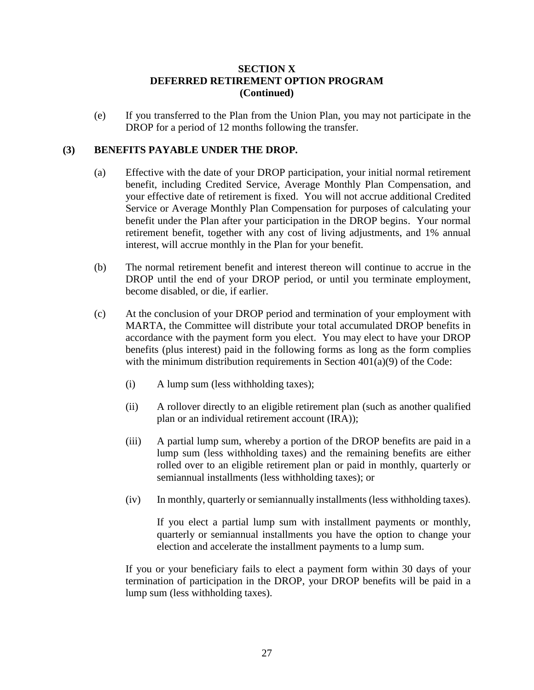# **SECTION X DEFERRED RETIREMENT OPTION PROGRAM (Continued)**

(e) If you transferred to the Plan from the Union Plan, you may not participate in the DROP for a period of 12 months following the transfer.

## <span id="page-32-0"></span>**(3) BENEFITS PAYABLE UNDER THE DROP.**

- (a) Effective with the date of your DROP participation, your initial normal retirement benefit, including Credited Service, Average Monthly Plan Compensation, and your effective date of retirement is fixed. You will not accrue additional Credited Service or Average Monthly Plan Compensation for purposes of calculating your benefit under the Plan after your participation in the DROP begins. Your normal retirement benefit, together with any cost of living adjustments, and 1% annual interest, will accrue monthly in the Plan for your benefit.
- (b) The normal retirement benefit and interest thereon will continue to accrue in the DROP until the end of your DROP period, or until you terminate employment, become disabled, or die, if earlier.
- (c) At the conclusion of your DROP period and termination of your employment with MARTA, the Committee will distribute your total accumulated DROP benefits in accordance with the payment form you elect. You may elect to have your DROP benefits (plus interest) paid in the following forms as long as the form complies with the minimum distribution requirements in Section  $401(a)(9)$  of the Code:
	- (i) A lump sum (less withholding taxes);
	- (ii) A rollover directly to an eligible retirement plan (such as another qualified plan or an individual retirement account (IRA));
	- (iii) A partial lump sum, whereby a portion of the DROP benefits are paid in a lump sum (less withholding taxes) and the remaining benefits are either rolled over to an eligible retirement plan or paid in monthly, quarterly or semiannual installments (less withholding taxes); or
	- (iv) In monthly, quarterly or semiannually installments (less withholding taxes).

If you elect a partial lump sum with installment payments or monthly, quarterly or semiannual installments you have the option to change your election and accelerate the installment payments to a lump sum.

If you or your beneficiary fails to elect a payment form within 30 days of your termination of participation in the DROP, your DROP benefits will be paid in a lump sum (less withholding taxes).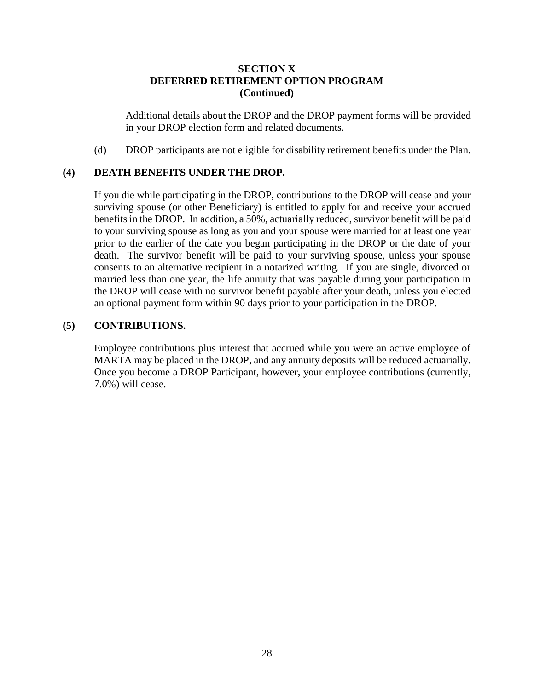# **SECTION X DEFERRED RETIREMENT OPTION PROGRAM (Continued)**

Additional details about the DROP and the DROP payment forms will be provided in your DROP election form and related documents.

(d) DROP participants are not eligible for disability retirement benefits under the Plan.

# <span id="page-33-0"></span>**(4) DEATH BENEFITS UNDER THE DROP.**

If you die while participating in the DROP, contributions to the DROP will cease and your surviving spouse (or other Beneficiary) is entitled to apply for and receive your accrued benefits in the DROP. In addition, a 50%, actuarially reduced, survivor benefit will be paid to your surviving spouse as long as you and your spouse were married for at least one year prior to the earlier of the date you began participating in the DROP or the date of your death. The survivor benefit will be paid to your surviving spouse, unless your spouse consents to an alternative recipient in a notarized writing. If you are single, divorced or married less than one year, the life annuity that was payable during your participation in the DROP will cease with no survivor benefit payable after your death, unless you elected an optional payment form within 90 days prior to your participation in the DROP.

# <span id="page-33-1"></span>**(5) CONTRIBUTIONS.**

Employee contributions plus interest that accrued while you were an active employee of MARTA may be placed in the DROP, and any annuity deposits will be reduced actuarially. Once you become a DROP Participant, however, your employee contributions (currently, 7.0%) will cease.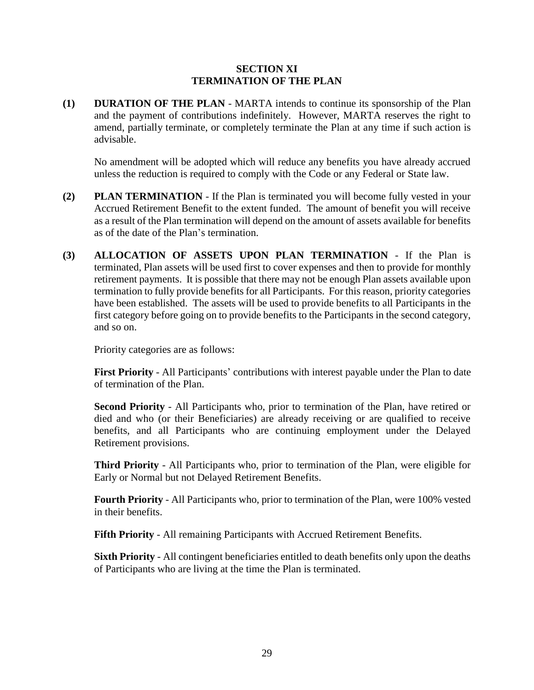## **SECTION XI TERMINATION OF THE PLAN**

<span id="page-34-1"></span><span id="page-34-0"></span>**(1) DURATION OF THE PLAN** - MARTA intends to continue its sponsorship of the Plan and the payment of contributions indefinitely. However, MARTA reserves the right to amend, partially terminate, or completely terminate the Plan at any time if such action is advisable.

No amendment will be adopted which will reduce any benefits you have already accrued unless the reduction is required to comply with the Code or any Federal or State law.

- <span id="page-34-2"></span>**(2) PLAN TERMINATION** - If the Plan is terminated you will become fully vested in your Accrued Retirement Benefit to the extent funded. The amount of benefit you will receive as a result of the Plan termination will depend on the amount of assets available for benefits as of the date of the Plan's termination.
- <span id="page-34-3"></span>**(3) ALLOCATION OF ASSETS UPON PLAN TERMINATION** - If the Plan is terminated, Plan assets will be used first to cover expenses and then to provide for monthly retirement payments. It is possible that there may not be enough Plan assets available upon termination to fully provide benefits for all Participants. For this reason, priority categories have been established. The assets will be used to provide benefits to all Participants in the first category before going on to provide benefits to the Participants in the second category, and so on.

Priority categories are as follows:

**First Priority** - All Participants' contributions with interest payable under the Plan to date of termination of the Plan.

**Second Priority** - All Participants who, prior to termination of the Plan, have retired or died and who (or their Beneficiaries) are already receiving or are qualified to receive benefits, and all Participants who are continuing employment under the Delayed Retirement provisions.

**Third Priority** - All Participants who, prior to termination of the Plan, were eligible for Early or Normal but not Delayed Retirement Benefits.

**Fourth Priority** - All Participants who, prior to termination of the Plan, were 100% vested in their benefits.

**Fifth Priority** - All remaining Participants with Accrued Retirement Benefits.

**Sixth Priority** - All contingent beneficiaries entitled to death benefits only upon the deaths of Participants who are living at the time the Plan is terminated.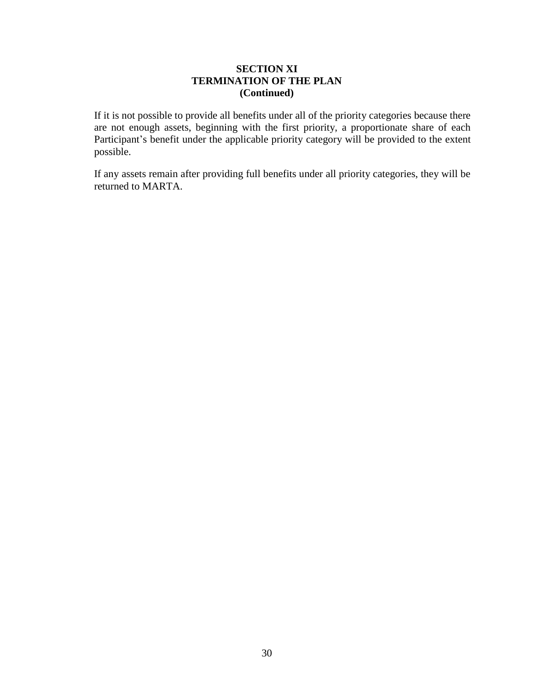# **SECTION XI TERMINATION OF THE PLAN (Continued)**

If it is not possible to provide all benefits under all of the priority categories because there are not enough assets, beginning with the first priority, a proportionate share of each Participant's benefit under the applicable priority category will be provided to the extent possible.

If any assets remain after providing full benefits under all priority categories, they will be returned to MARTA.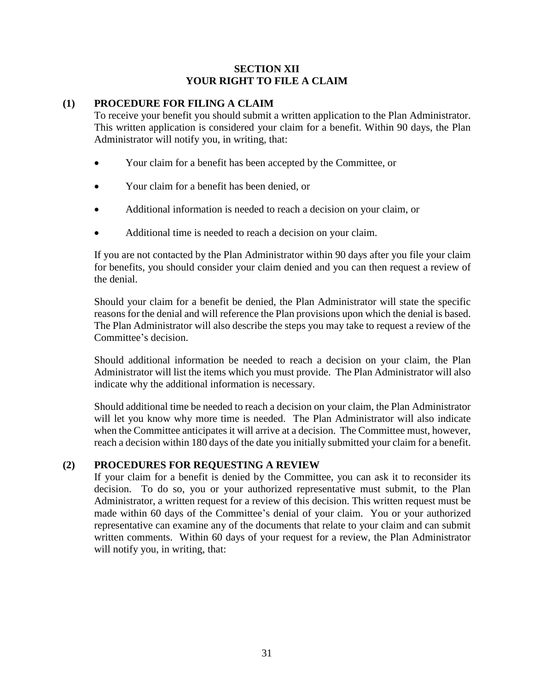# **SECTION XII YOUR RIGHT TO FILE A CLAIM**

# <span id="page-36-1"></span><span id="page-36-0"></span>**(1) PROCEDURE FOR FILING A CLAIM**

To receive your benefit you should submit a written application to the Plan Administrator. This written application is considered your claim for a benefit. Within 90 days, the Plan Administrator will notify you, in writing, that:

- Your claim for a benefit has been accepted by the Committee, or
- Your claim for a benefit has been denied, or
- Additional information is needed to reach a decision on your claim, or
- Additional time is needed to reach a decision on your claim.

If you are not contacted by the Plan Administrator within 90 days after you file your claim for benefits, you should consider your claim denied and you can then request a review of the denial.

Should your claim for a benefit be denied, the Plan Administrator will state the specific reasons for the denial and will reference the Plan provisions upon which the denial is based. The Plan Administrator will also describe the steps you may take to request a review of the Committee's decision.

Should additional information be needed to reach a decision on your claim, the Plan Administrator will list the items which you must provide. The Plan Administrator will also indicate why the additional information is necessary.

Should additional time be needed to reach a decision on your claim, the Plan Administrator will let you know why more time is needed. The Plan Administrator will also indicate when the Committee anticipates it will arrive at a decision. The Committee must, however, reach a decision within 180 days of the date you initially submitted your claim for a benefit.

# <span id="page-36-2"></span>**(2) PROCEDURES FOR REQUESTING A REVIEW**

If your claim for a benefit is denied by the Committee, you can ask it to reconsider its decision. To do so, you or your authorized representative must submit, to the Plan Administrator, a written request for a review of this decision. This written request must be made within 60 days of the Committee's denial of your claim. You or your authorized representative can examine any of the documents that relate to your claim and can submit written comments. Within 60 days of your request for a review, the Plan Administrator will notify you, in writing, that: